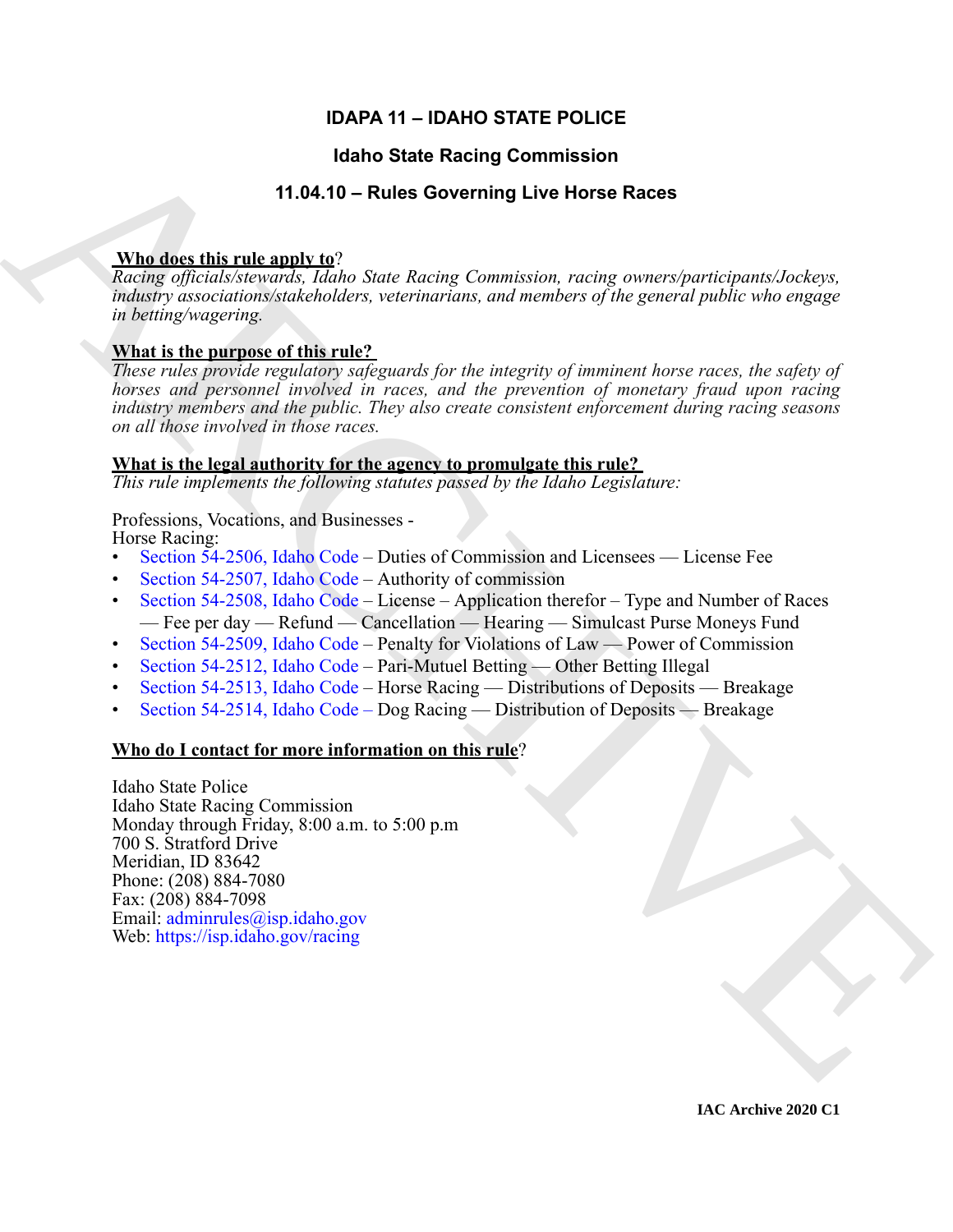# **IDAPA 11 – IDAHO STATE POLICE**

# **Idaho State Racing Commission**

# **11.04.10 – Rules Governing Live Horse Races**

# **Who does this rule apply to**?

*Racing officials/stewards, Idaho State Racing Commission, racing owners/participants/Jockeys, industry associations/stakeholders, veterinarians, and members of the general public who engage in betting/wagering.*

# **What is the purpose of this rule?**

*These rules provide regulatory safeguards for the integrity of imminent horse races, the safety of horses and personnel involved in races, and the prevention of monetary fraud upon racing industry members and the public. They also create consistent enforcement during racing seasons on all those involved in those races.* 

# **What is the legal authority for the agency to promulgate this rule?**

*This rule implements the following statutes passed by the Idaho Legislature:*

# Professions, Vocations, and Businesses -

Horse Racing:

- Section 54-2506, Idaho Code Duties of Commission and Licensees License Fee
- Section 54-2507, Idaho Code Authority of commission
- Section 54-2508, Idaho Code License Application therefor Type and Number of Races — Fee per day — Refund — Cancellation — Hearing — Simulcast Purse Moneys Fund
- Section 54-2509, Idaho Code Penalty for Violations of Law Power of Commission
- Section 54-2512, Idaho Code Pari-Mutuel Betting Other Betting Illegal
- Section 54-2513, Idaho Code Horse Racing Distributions of Deposits Breakage
- Section 54-2514, Idaho Code Dog Racing Distribution of Deposits Breakage

# **Who do I contact for more information on this rule**?

**14.160 State Recinq [C](https://legislature.idaho.gov/statutesrules/idstat/Title54/T54CH25/SECT54-2506/)ommission**<br>
14.16.10 – Rules Governing Live Horse Races<br>
26.181 – Rules (methods and the state of the state of the state of the state of the state of the state of the state of the state of the state Idaho State Police Idaho State Racing Commission Monday through Friday, 8:00 a.m. to 5:00 p.m 700 S. Stratford Drive Meridian, ID 83642 Phone: (208) 884-7080 Fax: (208) 884-7098 Email: adminrules@isp.idaho.gov Web: https://isp.idaho.gov/racing

**IAC Archive 2020 C1**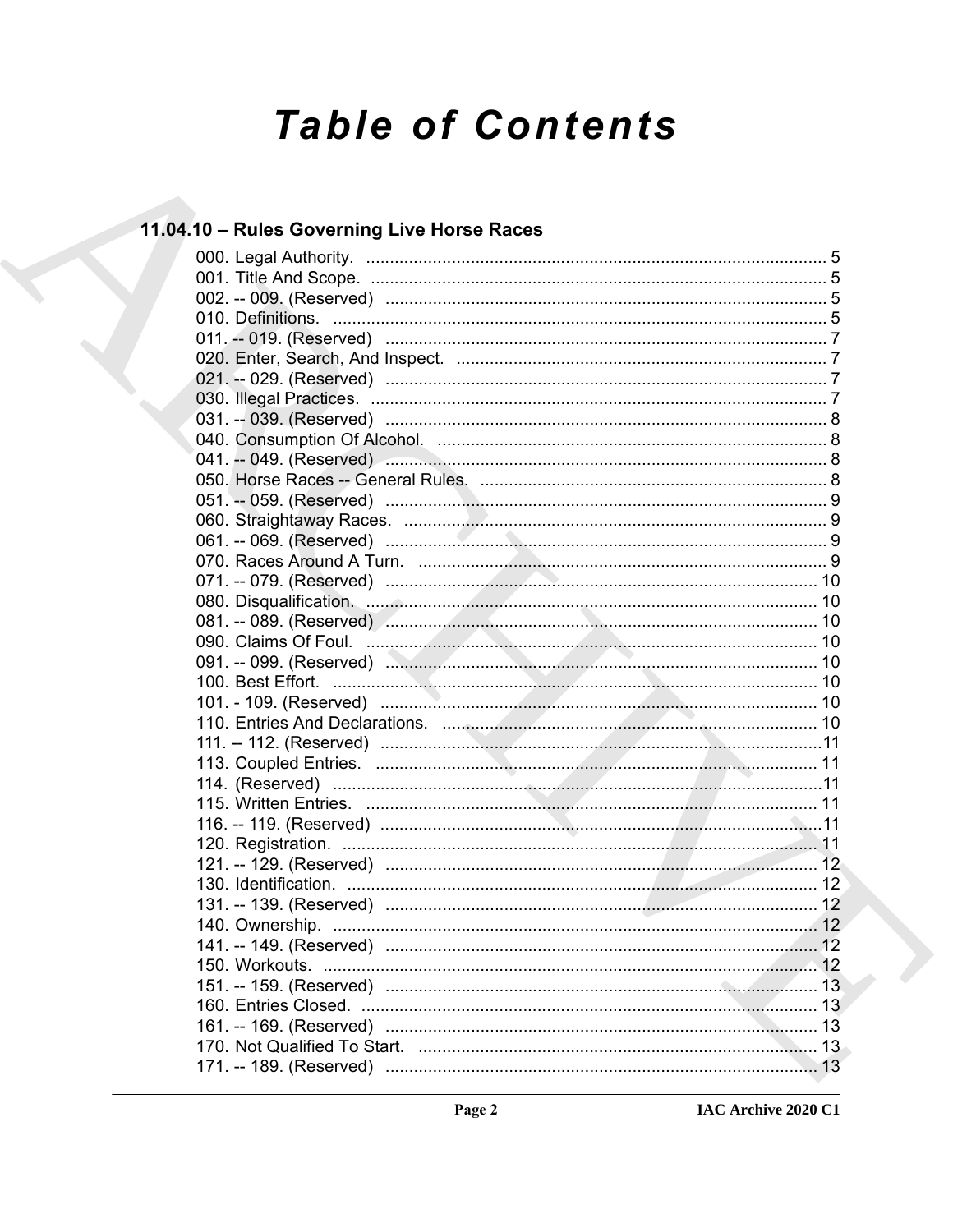# **Table of Contents**

# 11.04.10 - Rules Governing Live Horse Races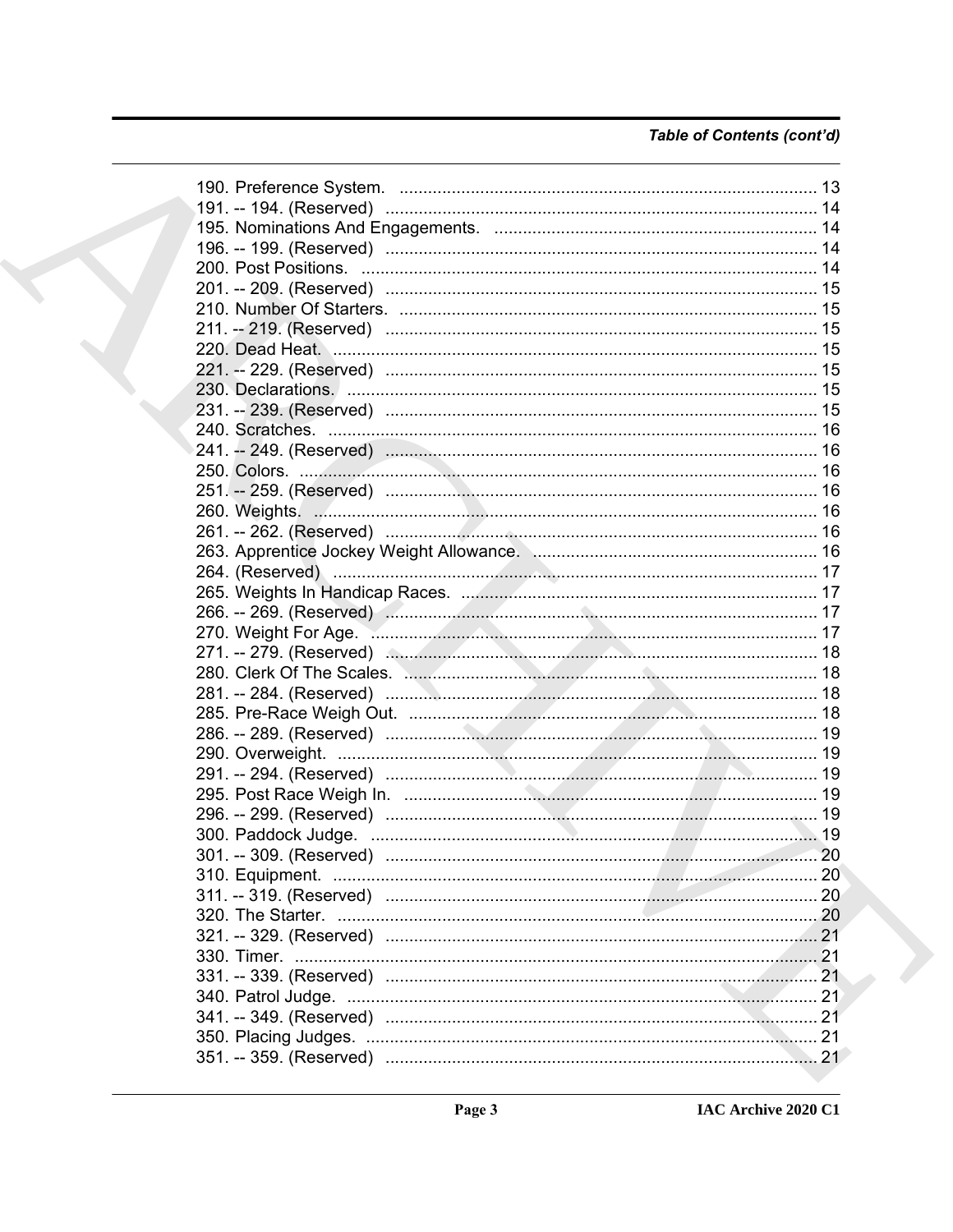# Table of Contents (cont'd)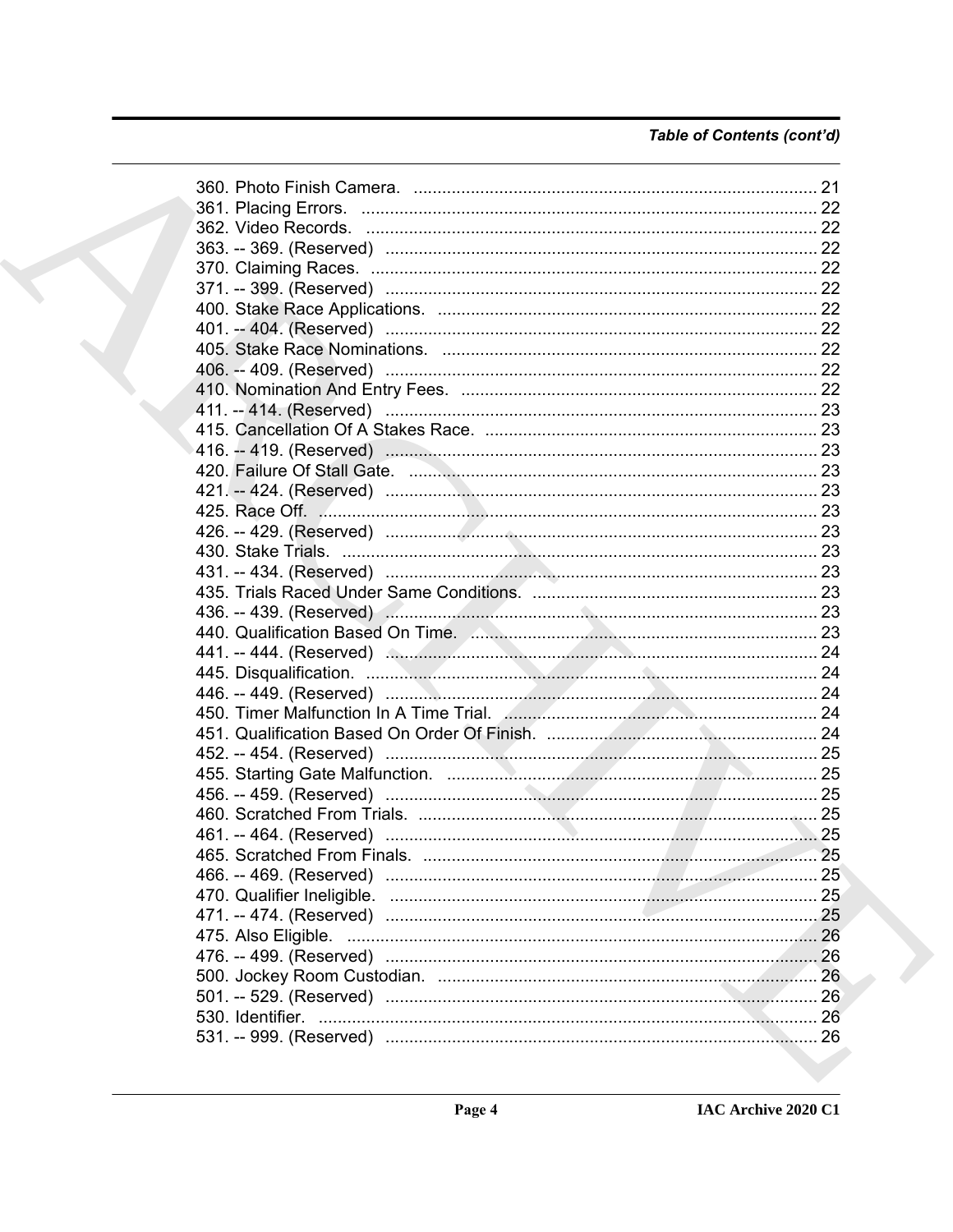# Table of Contents (cont'd)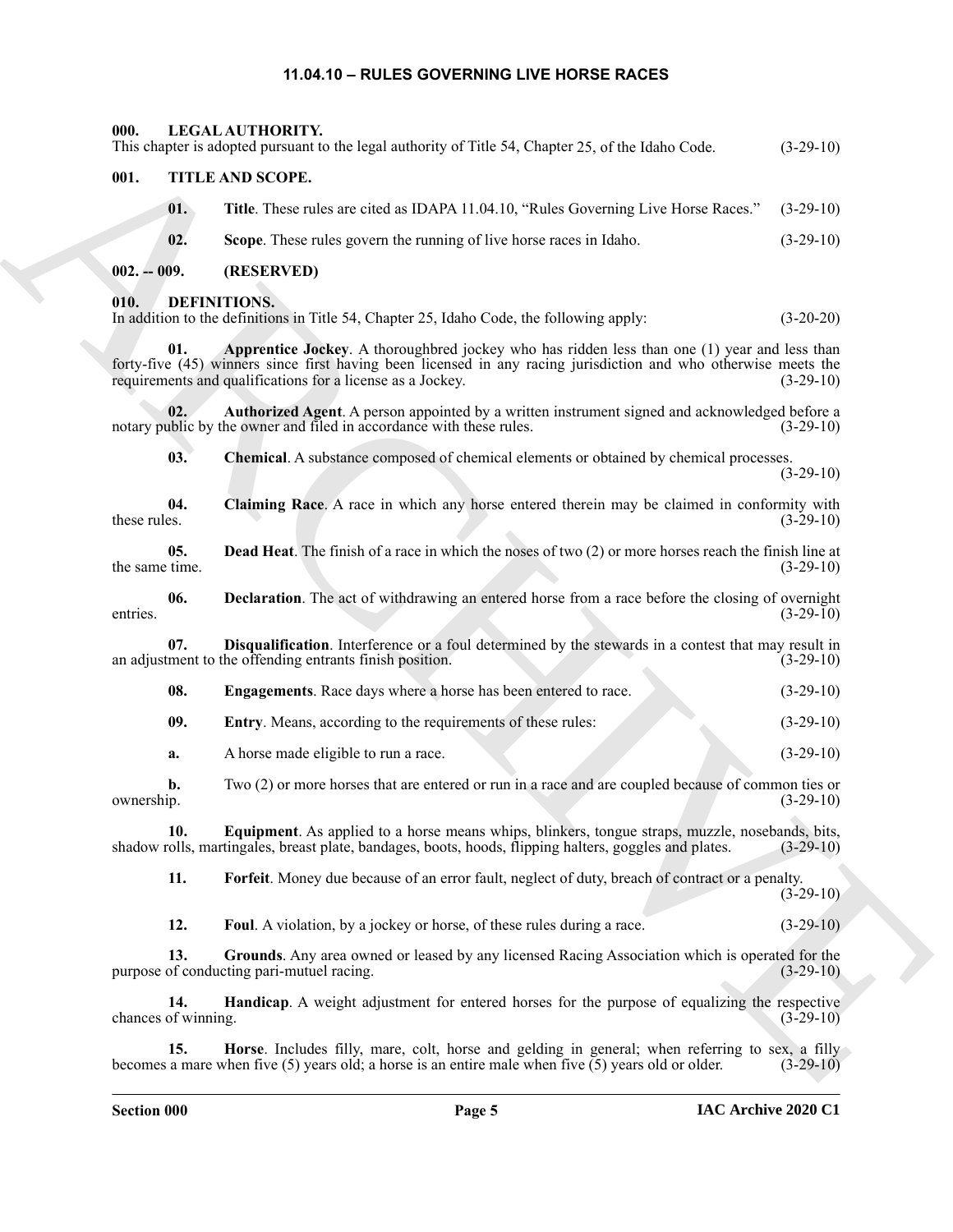## <span id="page-4-22"></span><span id="page-4-21"></span><span id="page-4-8"></span><span id="page-4-7"></span><span id="page-4-6"></span>**11.04.10 – RULES GOVERNING LIVE HORSE RACES**

<span id="page-4-20"></span><span id="page-4-19"></span><span id="page-4-18"></span><span id="page-4-17"></span><span id="page-4-16"></span><span id="page-4-15"></span><span id="page-4-14"></span><span id="page-4-13"></span><span id="page-4-12"></span><span id="page-4-11"></span><span id="page-4-10"></span><span id="page-4-9"></span><span id="page-4-5"></span><span id="page-4-4"></span><span id="page-4-3"></span><span id="page-4-2"></span><span id="page-4-1"></span><span id="page-4-0"></span>

| 000.                       | LEGAL AUTHORITY.<br>This chapter is adopted pursuant to the legal authority of Title 54, Chapter 25, of the Idaho Code.                                                                                                                                                              | $(3-29-10)$ |
|----------------------------|--------------------------------------------------------------------------------------------------------------------------------------------------------------------------------------------------------------------------------------------------------------------------------------|-------------|
| 001.                       | TITLE AND SCOPE.                                                                                                                                                                                                                                                                     |             |
| 01.                        | Title. These rules are cited as IDAPA 11.04.10, "Rules Governing Live Horse Races."                                                                                                                                                                                                  | $(3-29-10)$ |
| 02.                        | Scope. These rules govern the running of live horse races in Idaho.                                                                                                                                                                                                                  | $(3-29-10)$ |
| $002. - 009.$              | (RESERVED)                                                                                                                                                                                                                                                                           |             |
| 010.                       | DEFINITIONS.<br>In addition to the definitions in Title 54, Chapter 25, Idaho Code, the following apply:                                                                                                                                                                             | $(3-20-20)$ |
| 01.                        | <b>Apprentice Jockey.</b> A thoroughbred jockey who has ridden less than one (1) year and less than<br>forty-five (45) winners since first having been licensed in any racing jurisdiction and who otherwise meets the<br>requirements and qualifications for a license as a Jockey. | $(3-29-10)$ |
| 02.                        | Authorized Agent. A person appointed by a written instrument signed and acknowledged before a<br>notary public by the owner and filed in accordance with these rules.                                                                                                                | $(3-29-10)$ |
| 03.                        | Chemical. A substance composed of chemical elements or obtained by chemical processes.                                                                                                                                                                                               | $(3-29-10)$ |
| 04.<br>these rules.        | Claiming Race. A race in which any horse entered therein may be claimed in conformity with                                                                                                                                                                                           | $(3-29-10)$ |
| 05.<br>the same time.      | <b>Dead Heat.</b> The finish of a race in which the noses of two (2) or more horses reach the finish line at                                                                                                                                                                         | $(3-29-10)$ |
| 06.<br>entries.            | <b>Declaration</b> . The act of withdrawing an entered horse from a race before the closing of overnight                                                                                                                                                                             | $(3-29-10)$ |
| 07.                        | Disqualification. Interference or a foul determined by the stewards in a contest that may result in<br>an adjustment to the offending entrants finish position.                                                                                                                      | $(3-29-10)$ |
| 08.                        | <b>Engagements</b> . Race days where a horse has been entered to race.                                                                                                                                                                                                               | $(3-29-10)$ |
| 09.                        | Entry. Means, according to the requirements of these rules:                                                                                                                                                                                                                          | $(3-29-10)$ |
| a.                         | A horse made eligible to run a race.                                                                                                                                                                                                                                                 | $(3-29-10)$ |
| b.<br>ownership.           | Two (2) or more horses that are entered or run in a race and are coupled because of common ties or                                                                                                                                                                                   | $(3-29-10)$ |
| 10.                        | Equipment. As applied to a horse means whips, blinkers, tongue straps, muzzle, nosebands, bits,<br>shadow rolls, martingales, breast plate, bandages, boots, hoods, flipping halters, goggles and plates.                                                                            | $(3-29-10)$ |
| 11.                        | Forfeit. Money due because of an error fault, neglect of duty, breach of contract or a penalty.                                                                                                                                                                                      | $(3-29-10)$ |
| 12.                        | Foul. A violation, by a jockey or horse, of these rules during a race.                                                                                                                                                                                                               | $(3-29-10)$ |
| 13.                        | Grounds. Any area owned or leased by any licensed Racing Association which is operated for the<br>purpose of conducting pari-mutuel racing.                                                                                                                                          | $(3-29-10)$ |
| 14.<br>chances of winning. | Handicap. A weight adjustment for entered horses for the purpose of equalizing the respective                                                                                                                                                                                        | $(3-29-10)$ |
| 15.                        | Horse. Includes filly, mare, colt, horse and gelding in general; when referring to sex, a filly<br>becomes a mare when five (5) years old; a horse is an entire male when five $(5)$ years old or older.                                                                             | $(3-29-10)$ |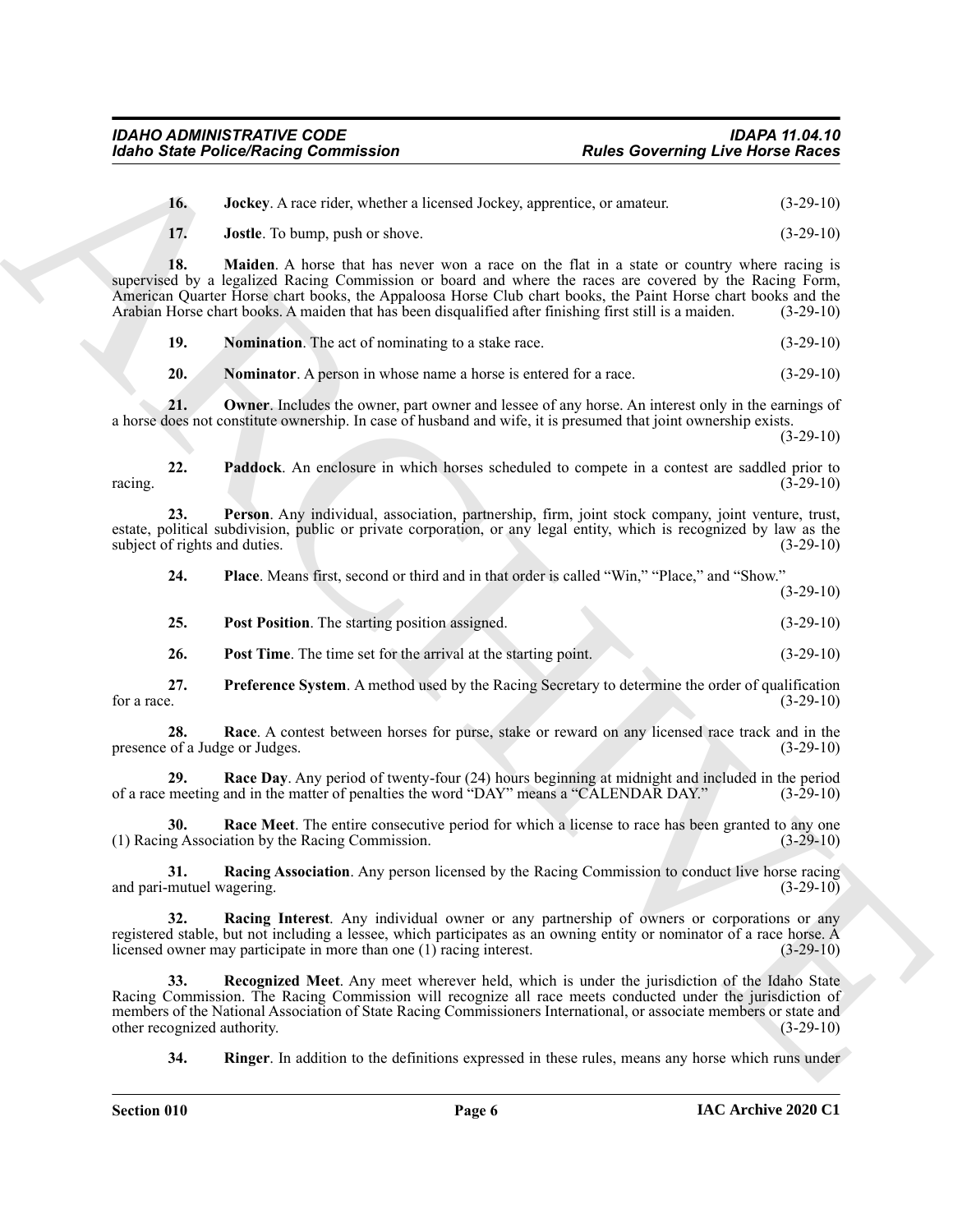<span id="page-5-2"></span><span id="page-5-1"></span><span id="page-5-0"></span>

| 16. | Jockey. A race rider, whether a licensed Jockey, apprentice, or amateur. | $(3-29-10)$ |
|-----|--------------------------------------------------------------------------|-------------|
|     | <b>Jostle.</b> To bump, push or shove.                                   | $(3-29-10)$ |

For the PolecoPhistop Commutation<br>
The Archives Archives Commutation<br>
16. **Justice Archives Archives Archives Archives Archives Archives Archives Archives Archives Archives Archives Archives Archives Archives Archives Arc 18. Maiden**. A horse that has never won a race on the flat in a state or country where racing is supervised by a legalized Racing Commission or board and where the races are covered by the Racing Form, American Quarter Horse chart books, the Appaloosa Horse Club chart books, the Paint Horse chart books and the Arabian Horse chart books. A maiden that has been disqualified after finishing first still is a maiden. (3-29-10)

<span id="page-5-3"></span>**19. Nomination**. The act of nominating to a stake race.  $(3-29-10)$ 

<span id="page-5-6"></span><span id="page-5-5"></span><span id="page-5-4"></span>**20. Nominator**. A person in whose name a horse is entered for a race.  $(3-29-10)$ 

**21.** Owner. Includes the owner, part owner and lessee of any horse. An interest only in the earnings of a horse does not constitute ownership. In case of husband and wife, it is presumed that joint ownership exists.

(3-29-10)

**22. Paddock**. An enclosure in which horses scheduled to compete in a contest are saddled prior to  $r^2$  racing.  $(3-29-10)$ 

**23. Person**. Any individual, association, partnership, firm, joint stock company, joint venture, trust, estate, political subdivision, public or private corporation, or any legal entity, which is recognized by law as the subject of rights and duties. (3-29-10)

<span id="page-5-8"></span><span id="page-5-7"></span>**24. Place**. Means first, second or third and in that order is called "Win," "Place," and "Show."

(3-29-10)

<span id="page-5-9"></span>

| 25. | <b>Post Position.</b> The starting position assigned. |  |  |  |  |  |  | $(3-29-10)$ |  |
|-----|-------------------------------------------------------|--|--|--|--|--|--|-------------|--|
|-----|-------------------------------------------------------|--|--|--|--|--|--|-------------|--|

<span id="page-5-12"></span><span id="page-5-11"></span><span id="page-5-10"></span>**26.** Post Time. The time set for the arrival at the starting point. (3-29-10)

**27. Preference System**. A method used by the Racing Secretary to determine the order of qualification for a race.  $(3-29-10)$ 

**28. Race**. A contest between horses for purse, stake or reward on any licensed race track and in the presence of a Judge or Judges. (3-29-10)

<span id="page-5-13"></span>**29.** Race Day. Any period of twenty-four (24) hours beginning at midnight and included in the period meeting and in the matter of penalties the word "DAY" means a "CALENDAR DAY." (3-29-10) of a race meeting and in the matter of penalties the word "DAY" means a "CALENDAR DAY."

<span id="page-5-14"></span>**30. Race Meet**. The entire consecutive period for which a license to race has been granted to any one (1) Racing Association by the Racing Commission. (3-29-10)

<span id="page-5-15"></span>**31.** Racing Association. Any person licensed by the Racing Commission to conduct live horse racing mutuel wagering. (3-29-10) and pari-mutuel wagering.

<span id="page-5-16"></span>**32. Racing Interest**. Any individual owner or any partnership of owners or corporations or any registered stable, but not including a lessee, which participates as an owning entity or nominator of a race horse. A licensed owner may participate in more than one (1) racing interest. (3-29-10) licensed owner may participate in more than one  $(1)$  racing interest.

**33. Recognized Meet**. Any meet wherever held, which is under the jurisdiction of the Idaho State Racing Commission. The Racing Commission will recognize all race meets conducted under the jurisdiction of members of the National Association of State Racing Commissioners International, or associate members or state and<br>(3-29-10) (3-29-10) other recognized authority.

<span id="page-5-18"></span><span id="page-5-17"></span>**34. Ringer**. In addition to the definitions expressed in these rules, means any horse which runs under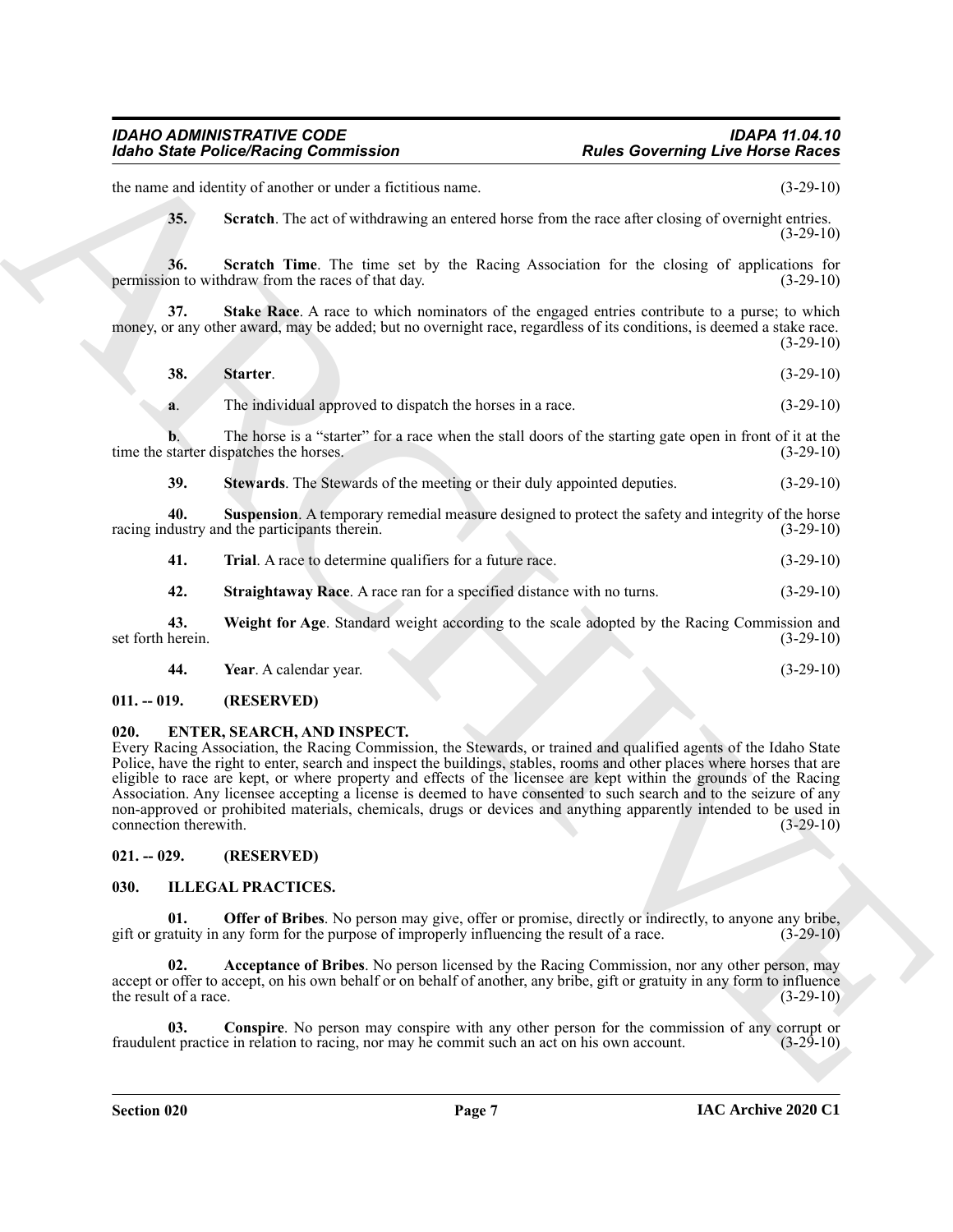the name and identity of another or under a fictitious name. (3-29-10)

<span id="page-6-6"></span><span id="page-6-5"></span><span id="page-6-4"></span>**35.** Scratch. The act of withdrawing an entered horse from the race after closing of overnight entries.  $(3-29-10)$ 

**36.** Scratch Time. The time set by the Racing Association for the closing of applications for to withdraw from the races of that day. (3-29-10) permission to withdraw from the races of that day.

**37.** Stake Race. A race to which nominators of the engaged entries contribute to a purse; to which money, or any other award, may be added; but no overnight race, regardless of its conditions, is deemed a stake race.  $(3-29-10)$ 

<span id="page-6-7"></span>

| 38. | Starter. |  | $(3-29-10)$ |
|-----|----------|--|-------------|
|     |          |  |             |

**a**. The individual approved to dispatch the horses in a race.  $(3-29-10)$ 

**b.** The horse is a "starter" for a race when the stall doors of the starting gate open in front of it at the time the starter dispatches the horses. (3-29-10)

<span id="page-6-10"></span><span id="page-6-8"></span>**39.** Stewards. The Stewards of the meeting or their duly appointed deputies.  $(3-29-10)$ 

**40.** Suspension. A temporary remedial measure designed to protect the safety and integrity of the horse dustry and the participants therein. racing industry and the participants therein.

<span id="page-6-11"></span>

| <b>Trial.</b> A race to determine qualifiers for a future race.<br>41. | $(3-29-10)$ |
|------------------------------------------------------------------------|-------------|
|------------------------------------------------------------------------|-------------|

<span id="page-6-13"></span><span id="page-6-12"></span><span id="page-6-9"></span>**42. Straightaway Race**. A race ran for a specified distance with no turns. (3-29-10)

**43. Weight for Age**. Standard weight according to the scale adopted by the Racing Commission and set forth herein. (3-29-10)

**44. Year**. A calendar year. (3-29-10)

#### <span id="page-6-0"></span>**011. -- 019. (RESERVED)**

#### <span id="page-6-14"></span><span id="page-6-1"></span>**020. ENTER, SEARCH, AND INSPECT.**

For the Police State of Construction of the same state of the same of the same of the same of the same of the same of the same of the same of the same of the same of the same of the same of the same of the same of the sam Every Racing Association, the Racing Commission, the Stewards, or trained and qualified agents of the Idaho State Police, have the right to enter, search and inspect the buildings, stables, rooms and other places where horses that are eligible to race are kept, or where property and effects of the licensee are kept within the grounds of the Racing Association. Any licensee accepting a license is deemed to have consented to such search and to the seizure of any non-approved or prohibited materials, chemicals, drugs or devices and anything apparently intended to be used in connection therewith. (3-29-10)

#### <span id="page-6-2"></span>**021. -- 029. (RESERVED)**

#### <span id="page-6-15"></span><span id="page-6-3"></span>**030. ILLEGAL PRACTICES.**

<span id="page-6-18"></span>**Offer of Bribes**. No person may give, offer or promise, directly or indirectly, to anyone any bribe, gift or gratuity in any form for the purpose of improperly influencing the result of a race. (3-29-10)

<span id="page-6-16"></span>**02. Acceptance of Bribes**. No person licensed by the Racing Commission, nor any other person, may accept or offer to accept, on his own behalf or on behalf of another, any bribe, gift or gratuity in any form to influence the result of a race.  $(3-29-10)$ 

<span id="page-6-17"></span>**03.** Conspire. No person may conspire with any other person for the commission of any corrupt or the practice in relation to racing, nor may he commit such an act on his own account. (3-29-10) fraudulent practice in relation to racing, nor may he commit such an act on his own account.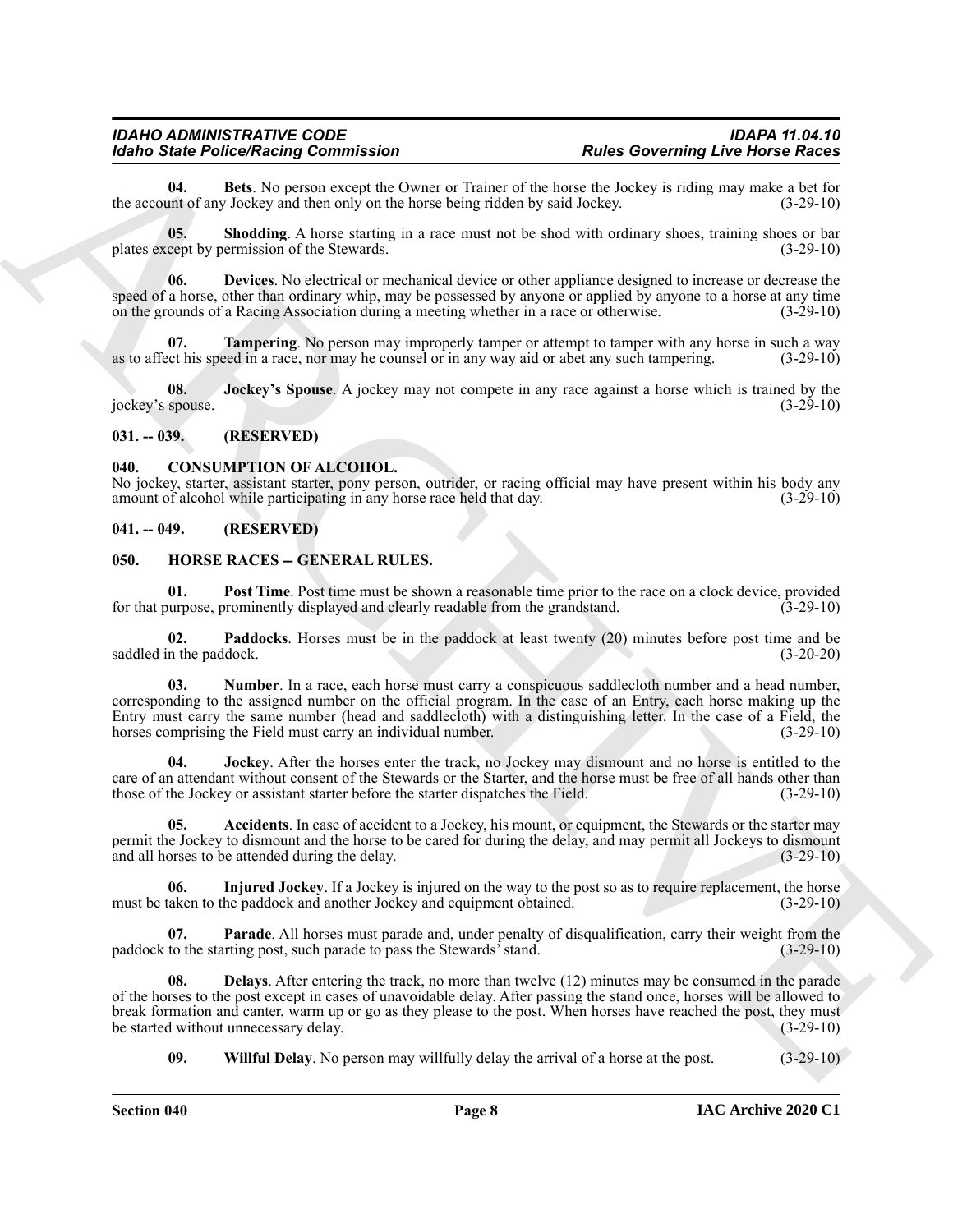<span id="page-7-15"></span>**04.** Bets. No person except the Owner or Trainer of the horse the Jockey is riding may make a bet for unt of any Jockey and then only on the horse being ridden by said Jockey. (3-29-10) the account of any Jockey and then only on the horse being ridden by said Jockey.

<span id="page-7-18"></span>**05. Shodding**. A horse starting in a race must not be shod with ordinary shoes, training shoes or bar plates except by permission of the Stewards. (3-29-10)

<span id="page-7-16"></span>**06. Devices**. No electrical or mechanical device or other appliance designed to increase or decrease the speed of a horse, other than ordinary whip, may be possessed by anyone or applied by anyone to a horse at any time on the grounds of a Racing Association during a meeting whether in a race or otherwise. (3-29-10)

<span id="page-7-19"></span>**07. Tampering**. No person may improperly tamper or attempt to tamper with any horse in such a way as to affect his speed in a race, nor may he counsel or in any way aid or abet any such tampering. (3-29-10)

<span id="page-7-17"></span>**Jockey's Spouse**. A jockey may not compete in any race against a horse which is trained by the jockey's spouse. (3-29-10)

#### <span id="page-7-0"></span>**031. -- 039. (RESERVED)**

#### <span id="page-7-4"></span><span id="page-7-1"></span>**040. CONSUMPTION OF ALCOHOL.**

No jockey, starter, assistant starter, pony person, outrider, or racing official may have present within his body any amount of alcohol while participating in any horse race held that day. (3-29-10)

#### <span id="page-7-2"></span>**041. -- 049. (RESERVED)**

#### <span id="page-7-5"></span><span id="page-7-3"></span>**050. HORSE RACES -- GENERAL RULES.**

<span id="page-7-13"></span>**01. Post Time**. Post time must be shown a reasonable time prior to the race on a clock device, provided propose, prominently displayed and clearly readable from the grandstand. (3-29-10) for that purpose, prominently displayed and clearly readable from the grandstand.

<span id="page-7-11"></span>**02.** Paddocks. Horses must be in the paddock at least twenty (20) minutes before post time and be n the paddock. (3-20-20) saddled in the paddock.

<span id="page-7-10"></span>**03. Number**. In a race, each horse must carry a conspicuous saddlecloth number and a head number, corresponding to the assigned number on the official program. In the case of an Entry, each horse making up the Entry must carry the same number (head and saddlecloth) with a distinguishing letter. In the case of a Field, the horses comprising the Field must carry an individual number. (3-29-10)

<span id="page-7-9"></span>**04. Jockey**. After the horses enter the track, no Jockey may dismount and no horse is entitled to the care of an attendant without consent of the Stewards or the Starter, and the horse must be free of all hands other than those of the Jockey or assistant starter before the starter dispatches the Field. (3-29-10) those of the Jockey or assistant starter before the starter dispatches the Field.

<span id="page-7-6"></span>**05.** Accidents. In case of accident to a Jockey, his mount, or equipment, the Stewards or the starter may permit the Jockey to dismount and the horse to be cared for during the delay, and may permit all Jockeys to dismount and all horses to be attended during the delay. and all horses to be attended during the delay.

<span id="page-7-8"></span>**06. Injured Jockey**. If a Jockey is injured on the way to the post so as to require replacement, the horse must be taken to the paddock and another Jockey and equipment obtained. (3-29-10)

<span id="page-7-12"></span>**07. Parade**. All horses must parade and, under penalty of disqualification, carry their weight from the to the starting post, such parade to pass the Stewards' stand. (3-29-10) paddock to the starting post, such parade to pass the Stewards' stand.

Models Same Pelockheim Geometrics and between the large of the state over the state of the state of the state of the state of the state of the state of the state of the state of the state of the state of the state of the **Delays**. After entering the track, no more than twelve (12) minutes may be consumed in the parade of the horses to the post except in cases of unavoidable delay. After passing the stand once, horses will be allowed to break formation and canter, warm up or go as they please to the post. When horses have reached the post, they must<br>be started without unnecessary delay. (3-29-10) be started without unnecessary delay.

<span id="page-7-14"></span><span id="page-7-7"></span>**09. Willful Delay**. No person may willfully delay the arrival of a horse at the post. (3-29-10)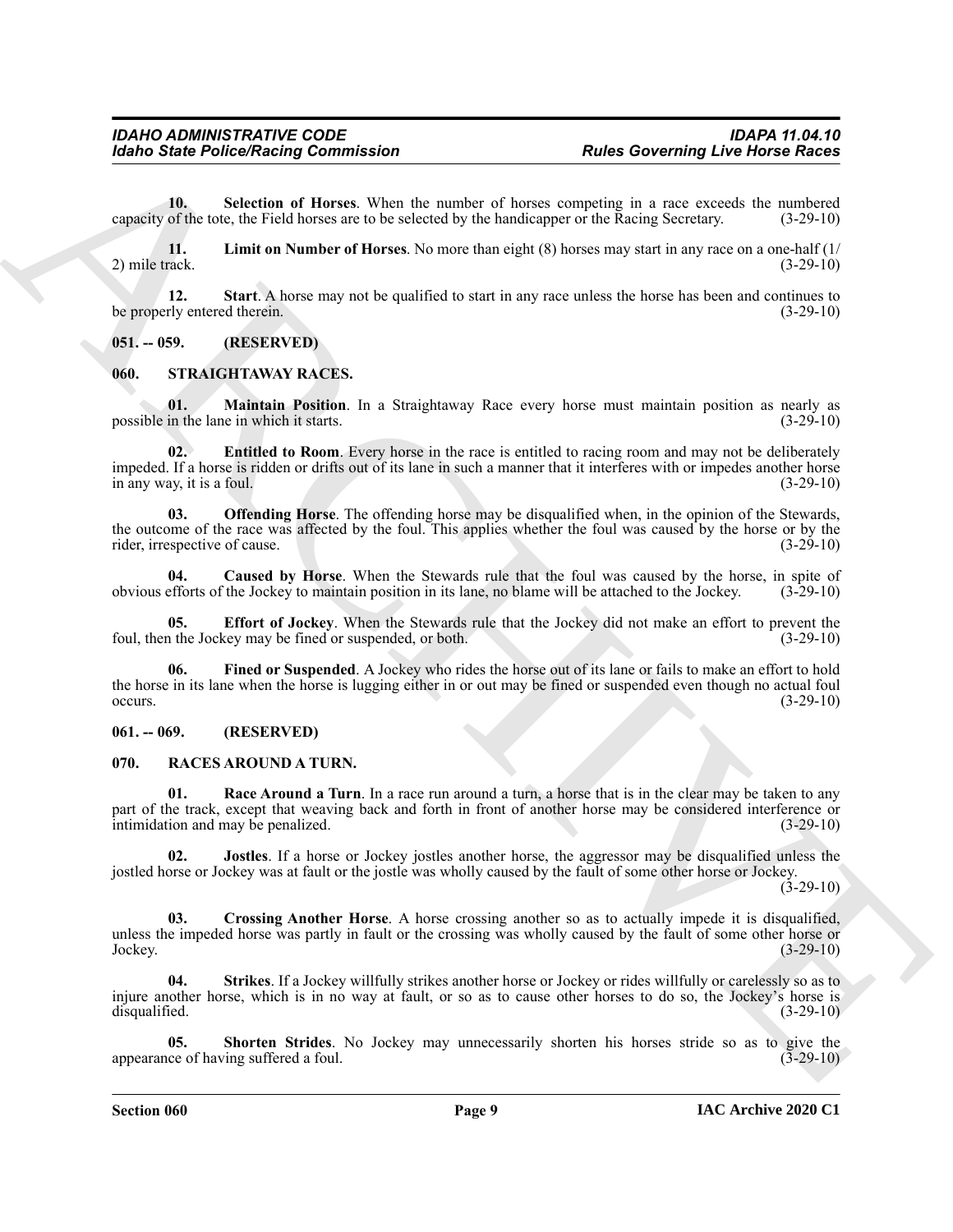<span id="page-8-5"></span>**10. Selection of Horses**. When the number of horses competing in a race exceeds the numbered capacity of the tote, the Field horses are to be selected by the handicapper or the Racing Secretary. (3-29-10)

<span id="page-8-4"></span>**11. Limit on Number of Horses**. No more than eight (8) horses may start in any race on a one-half (1/ 2) mile track. (3-29-10)

<span id="page-8-6"></span>**12. Start**. A horse may not be qualified to start in any race unless the horse has been and continues to be properly entered therein. (3-29-10)

#### <span id="page-8-0"></span>**051. -- 059. (RESERVED)**

#### <span id="page-8-13"></span><span id="page-8-1"></span>**060. STRAIGHTAWAY RACES.**

<span id="page-8-18"></span>**01. Maintain Position**. In a Straightaway Race every horse must maintain position as nearly as in the lane in which it starts. possible in the lane in which it starts.

<span id="page-8-16"></span>**02. Entitled to Room**. Every horse in the race is entitled to racing room and may not be deliberately impeded. If a horse is ridden or drifts out of its lane in such a manner that it interferes with or impedes another horse in any way, it is a foul. (3-29-10)

<span id="page-8-19"></span>**03. Offending Horse**. The offending horse may be disqualified when, in the opinion of the Stewards, the outcome of the race was affected by the foul. This applies whether the foul was caused by the horse or by the rider, irrespective of cause. (3-29-10)

<span id="page-8-14"></span>**04. Caused by Horse**. When the Stewards rule that the foul was caused by the horse, in spite of obvious efforts of the Jockey to maintain position in its lane, no blame will be attached to the Jockey. (3-29-10)

<span id="page-8-17"></span><span id="page-8-15"></span>**05. Effort of Jockey**. When the Stewards rule that the Jockey did not make an effort to prevent the foul, then the Jockey may be fined or suspended, or both. (3-29-10)

For the Police Research Commutation<br>
The Convention Clinton is a matter of logo a matter of logo a matter of logo a matter of logo and the matter of the state of the state of the Convention Clinton is a reaction of the st **06. Fined or Suspended**. A Jockey who rides the horse out of its lane or fails to make an effort to hold the horse in its lane when the horse is lugging either in or out may be fined or suspended even though no actual foul occurs.  $(3-29-10)$ 

#### <span id="page-8-2"></span>**061. -- 069. (RESERVED)**

#### <span id="page-8-7"></span><span id="page-8-3"></span>**070. RACES AROUND A TURN.**

<span id="page-8-10"></span>**01. Race Around a Turn**. In a race run around a turn, a horse that is in the clear may be taken to any part of the track, except that weaving back and forth in front of another horse may be considered interference or intimidation and may be penalized. (3-29-10)

<span id="page-8-9"></span>**02. Jostles**. If a horse or Jockey jostles another horse, the aggressor may be disqualified unless the jostled horse or Jockey was at fault or the jostle was wholly caused by the fault of some other horse or Jockey.

 $(3-29-10)$ 

<span id="page-8-8"></span>**03. Crossing Another Horse**. A horse crossing another so as to actually impede it is disqualified, unless the impeded horse was partly in fault or the crossing was wholly caused by the fault of some other horse or Jockey. (3-29-10) Jockey. (3-29-10)

<span id="page-8-12"></span>**04. Strikes**. If a Jockey willfully strikes another horse or Jockey or rides willfully or carelessly so as to injure another horse, which is in no way at fault, or so as to cause other horses to do so, the Jockey's horse is disqualified. (3-29-10)

<span id="page-8-11"></span>**05. Shorten Strides**. No Jockey may unnecessarily shorten his horses stride so as to give the appearance of having suffered a foul. (3-29-10)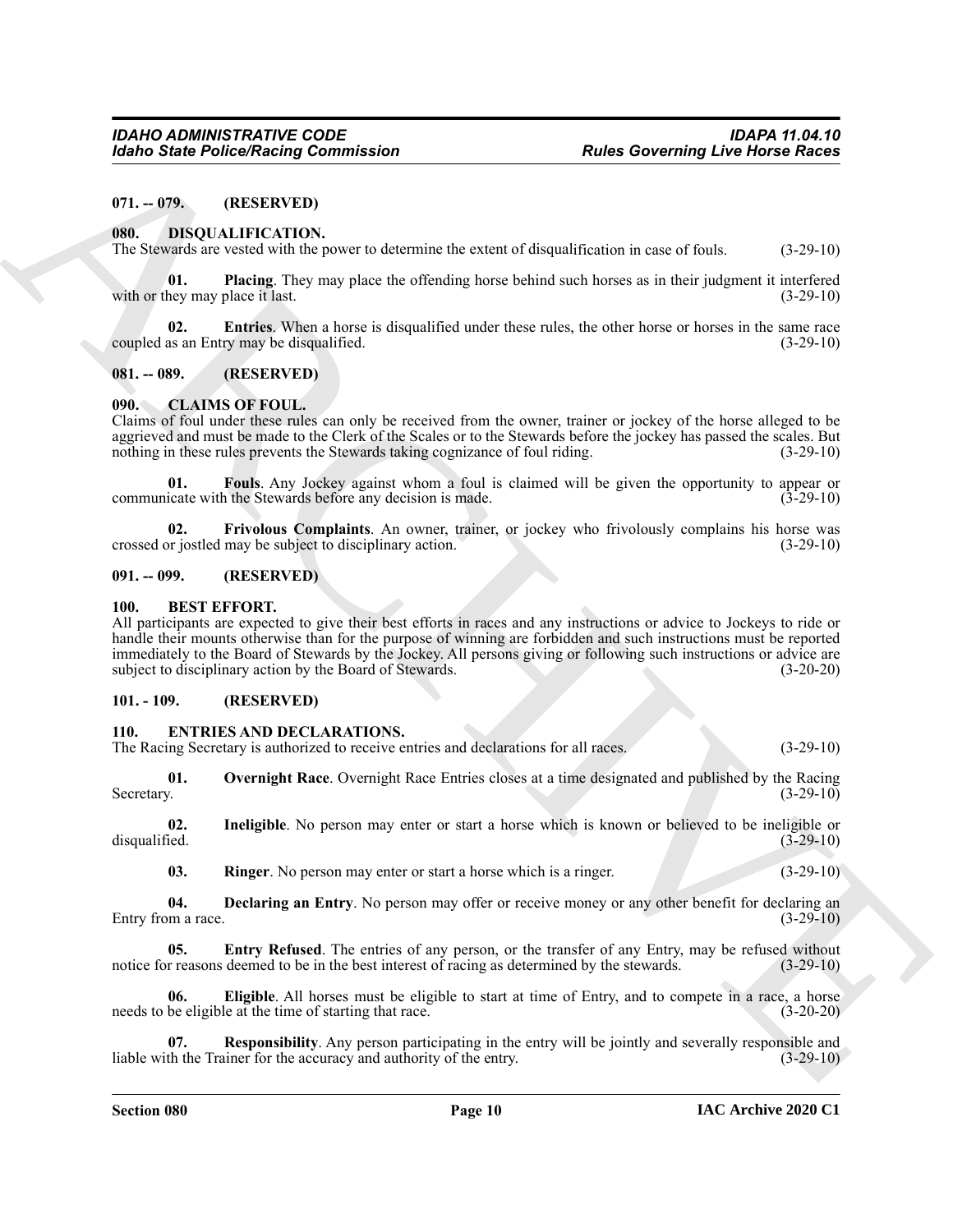#### <span id="page-9-0"></span>**071. -- 079. (RESERVED)**

#### <span id="page-9-12"></span><span id="page-9-1"></span>**080. DISQUALIFICATION.**

<span id="page-9-14"></span>The Stewards are vested with the power to determine the extent of disqualification in case of fouls. (3-29-10)

**01. Placing**. They may place the offending horse behind such horses as in their judgment it interfered hey may place it last. (3-29-10) with or they may place it last.

<span id="page-9-13"></span>**02. Entries**. When a horse is disqualified under these rules, the other horse or horses in the same race coupled as an Entry may be disqualified. (3-29-10)

#### <span id="page-9-2"></span>**081. -- 089. (RESERVED)**

#### <span id="page-9-9"></span><span id="page-9-3"></span>**090. CLAIMS OF FOUL.**

Claims of foul under these rules can only be received from the owner, trainer or jockey of the horse alleged to be aggrieved and must be made to the Clerk of the Scales or to the Stewards before the jockey has passed the scales. But nothing in these rules prevents the Stewards taking cognizance of foul riding. (3-29-10)

<span id="page-9-10"></span>**01. Fouls**. Any Jockey against whom a foul is claimed will be given the opportunity to appear or communicate with the Stewards before any decision is made.  $(3-29-10)$ 

<span id="page-9-11"></span>**02. Frivolous Complaints**. An owner, trainer, or jockey who frivolously complains his horse was crossed or jostled may be subject to disciplinary action. (3-29-10)

#### <span id="page-9-4"></span>**091. -- 099. (RESERVED)**

#### <span id="page-9-8"></span><span id="page-9-5"></span>**100. BEST EFFORT.**

**Example Police State Project Nations 2** *Police State Chapter and the Chapter State Chapter and the Chapter State Chapter and the Chapter State Chapter and the Chapter State Chapter and the Chapter State Chapter and the* All participants are expected to give their best efforts in races and any instructions or advice to Jockeys to ride or handle their mounts otherwise than for the purpose of winning are forbidden and such instructions must be reported immediately to the Board of Stewards by the Jockey. All persons giving or following such instructions or advice are subject to disciplinary action by the Board of Stewards. (3-20-20)

#### <span id="page-9-6"></span>**101. - 109. (RESERVED)**

#### <span id="page-9-15"></span><span id="page-9-7"></span>**110. ENTRIES AND DECLARATIONS.**

<span id="page-9-20"></span>The Racing Secretary is authorized to receive entries and declarations for all races. (3-29-10)

**01.** Overnight Race. Overnight Race Entries closes at a time designated and published by the Racing Secretary. (3-29-10) Secretary. (3-29-10)

**02.** Ineligible. No person may enter or start a horse which is known or believed to be ineligible or disqualified.  $(3-29-10)$ disqualified. (3-29-10)

<span id="page-9-22"></span><span id="page-9-19"></span><span id="page-9-18"></span><span id="page-9-16"></span>**03.** Ringer. No person may enter or start a horse which is a ringer.  $(3-29-10)$ 

**04. Declaring an Entry**. No person may offer or receive money or any other benefit for declaring an Entry from a race. (3-29-10)

**05. Entry Refused**. The entries of any person, or the transfer of any Entry, may be refused without notice for reasons deemed to be in the best interest of racing as determined by the stewards. (3-29-10)

<span id="page-9-17"></span>**06. Eligible**. All horses must be eligible to start at time of Entry, and to compete in a race, a horse needs to be eligible at the time of starting that race. (3-20-20)

<span id="page-9-21"></span>**Responsibility**. Any person participating in the entry will be jointly and severally responsible and liable with the Trainer for the accuracy and authority of the entry. (3-29-10)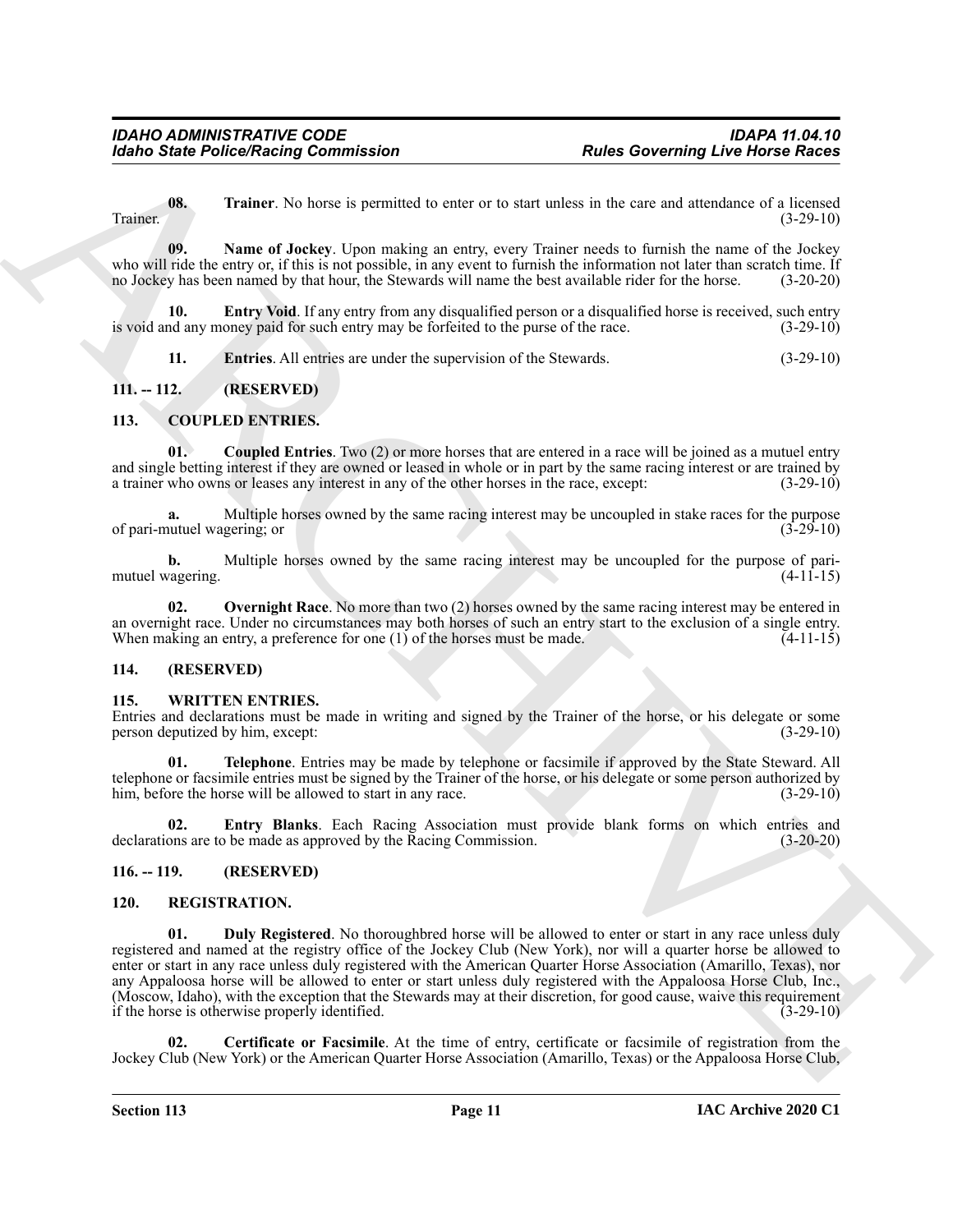<span id="page-10-12"></span>**08.** Trainer. No horse is permitted to enter or to start unless in the care and attendance of a licensed (3-29-10) Trainer. (3-29-10)

<span id="page-10-11"></span>**09. Name of Jockey**. Upon making an entry, every Trainer needs to furnish the name of the Jockey who will ride the entry or, if this is not possible, in any event to furnish the information not later than scratch time. If no Jockey has been named by that hour, the Stewards will name the best available rider for the ho no Jockey has been named by that hour, the Stewards will name the best available rider for the horse.

**10. Entry Void**. If any entry from any disqualified person or a disqualified horse is received, such entry is void and any money paid for such entry may be forfeited to the purse of the race. (3-29-10)

<span id="page-10-10"></span><span id="page-10-9"></span><span id="page-10-7"></span><span id="page-10-6"></span>**11. Entries**. All entries are under the supervision of the Stewards. (3-29-10)

## <span id="page-10-0"></span>**111. -- 112. (RESERVED)**

#### <span id="page-10-1"></span>**113. COUPLED ENTRIES.**

**01. Coupled Entries**. Two (2) or more horses that are entered in a race will be joined as a mutuel entry and single betting interest if they are owned or leased in whole or in part by the same racing interest or are trained by a trainer who owns or leases any interest in any of the other horses in the race, except: (3-29-10)

**a.** Multiple horses owned by the same racing interest may be uncoupled in stake races for the purpose utuel wagering; or (3-29-10) of pari-mutuel wagering; or

**b.** Multiple horses owned by the same racing interest may be uncoupled for the purpose of pari-<br>(4-11-15) mutuel wagering.

<span id="page-10-8"></span>**02. Overnight Race**. No more than two (2) horses owned by the same racing interest may be entered in an overnight race. Under no circumstances may both horses of such an entry start to the exclusion of a single entry. When making an entry, a preference for one (1) of the horses must be made. (4-11-15)

#### <span id="page-10-2"></span>**114. (RESERVED)**

#### <span id="page-10-16"></span><span id="page-10-3"></span>**115. WRITTEN ENTRIES.**

Entries and declarations must be made in writing and signed by the Trainer of the horse, or his delegate or some person deputized by him, except: (3-29-10)

<span id="page-10-18"></span>**01. Telephone**. Entries may be made by telephone or facsimile if approved by the State Steward. All telephone or facsimile entries must be signed by the Trainer of the horse, or his delegate or some person authorized by him, before the horse will be allowed to start in any race. (3-29-10) him, before the horse will be allowed to start in any race.

<span id="page-10-17"></span>**02. Entry Blanks**. Each Racing Association must provide blank forms on which entries and declarations are to be made as approved by the Racing Commission. (3-20-20)

#### <span id="page-10-4"></span>**116. -- 119. (RESERVED)**

#### <span id="page-10-15"></span><span id="page-10-13"></span><span id="page-10-5"></span>**120. REGISTRATION.**

**Example 2** Poisson Realist Commutation<br> **Example 2** Poisson Realist Commutation<br>
Traitist Commutation Commutation Realist Commutation Realist Commutation Commutation Commutation Commutation<br>
Traitist Commutation Commutat **01. Duly Registered**. No thoroughbred horse will be allowed to enter or start in any race unless duly registered and named at the registry office of the Jockey Club (New York), nor will a quarter horse be allowed to enter or start in any race unless duly registered with the American Quarter Horse Association (Amarillo, Texas), nor any Appaloosa horse will be allowed to enter or start unless duly registered with the Appaloosa Horse Club, Inc., (Moscow, Idaho), with the exception that the Stewards may at their discretion, for good cause, waive this requirement if the horse is otherwise properly identified. (3-29-10)

<span id="page-10-14"></span>**02. Certificate or Facsimile**. At the time of entry, certificate or facsimile of registration from the Jockey Club (New York) or the American Quarter Horse Association (Amarillo, Texas) or the Appaloosa Horse Club,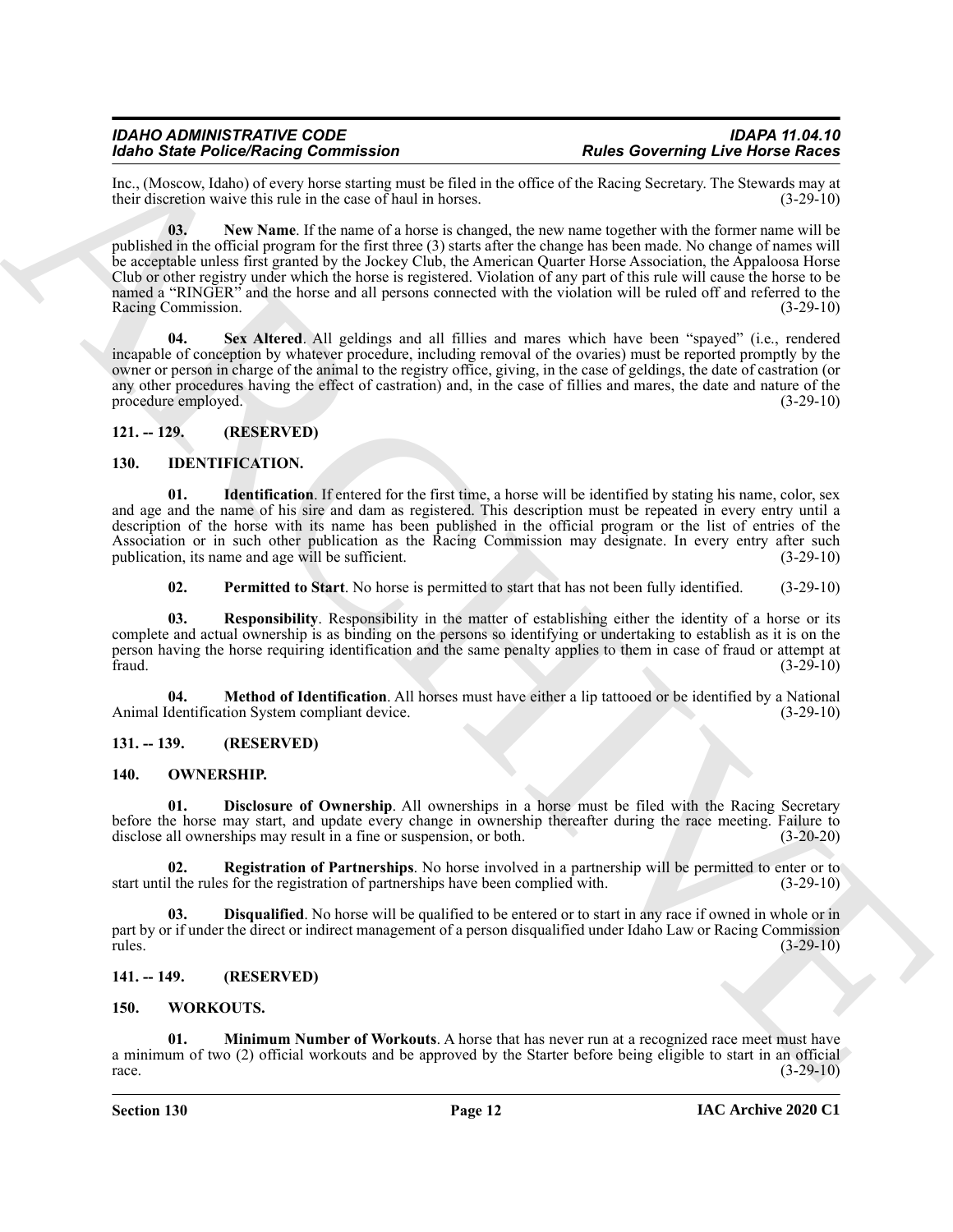<span id="page-11-15"></span>Inc., (Moscow, Idaho) of every horse starting must be filed in the office of the Racing Secretary. The Stewards may at their discretion waive this rule in the case of haul in horses. (3-29-10)

Molecule Pelocolicine Constraint Controller and the state of the state of the state of the state of the state of the state of the state of the state of the state of the state of the state of the state of the state of the **03. New Name**. If the name of a horse is changed, the new name together with the former name will be published in the official program for the first three (3) starts after the change has been made. No change of names will be acceptable unless first granted by the Jockey Club, the American Quarter Horse Association, the Appaloosa Horse Club or other registry under which the horse is registered. Violation of any part of this rule will cause the horse to be named a "RINGER" and the horse and all persons connected with the violation will be ruled off and referred to the Racing Commission. (3-29-10)

<span id="page-11-16"></span>**04. Sex Altered**. All geldings and all fillies and mares which have been "spayed" (i.e., rendered incapable of conception by whatever procedure, including removal of the ovaries) must be reported promptly by the owner or person in charge of the animal to the registry office, giving, in the case of geldings, the date of castration (or any other procedures having the effect of castration) and, in the case of fillies and mares, the date and nature of the procedure employed. (3-29-10)

<span id="page-11-0"></span>**121. -- 129. (RESERVED)**

#### <span id="page-11-7"></span><span id="page-11-6"></span><span id="page-11-1"></span>**130. IDENTIFICATION.**

**01. Identification**. If entered for the first time, a horse will be identified by stating his name, color, sex and age and the name of his sire and dam as registered. This description must be repeated in every entry until a description of the horse with its name has been published in the official program or the list of entries of the Association or in such other publication as the Racing Commission may designate. In every entry after such publication, its name and age will be sufficient. (3-29-10)

<span id="page-11-10"></span><span id="page-11-9"></span><span id="page-11-8"></span>**02. Permitted to Start**. No horse is permitted to start that has not been fully identified. (3-29-10)

**03. Responsibility**. Responsibility in the matter of establishing either the identity of a horse or its complete and actual ownership is as binding on the persons so identifying or undertaking to establish as it is on the person having the horse requiring identification and the same penalty applies to them in case of fraud or attempt at fraud. (3-29-10) fraud.  $(3-29-10)$ 

**04. Method of Identification**. All horses must have either a lip tattooed or be identified by a National Animal Identification System compliant device. (3-29-10)

<span id="page-11-2"></span>**131. -- 139. (RESERVED)**

#### <span id="page-11-11"></span><span id="page-11-3"></span>**140. OWNERSHIP.**

<span id="page-11-12"></span>**01. Disclosure of Ownership**. All ownerships in a horse must be filed with the Racing Secretary before the horse may start, and update every change in ownership thereafter during the race meeting. Failure to disclose all ownerships may result in a fine or suspension, or both. (3-20-20)

<span id="page-11-14"></span>**02. Registration of Partnerships**. No horse involved in a partnership will be permitted to enter or to start until the rules for the registration of partnerships have been complied with. (3-29-10)

<span id="page-11-13"></span>**03. Disqualified**. No horse will be qualified to be entered or to start in any race if owned in whole or in part by or if under the direct or indirect management of a person disqualified under Idaho Law or Racing Commission rules. (3-29-10) rules. (3-29-10)

#### <span id="page-11-17"></span><span id="page-11-4"></span>**141. -- 149. (RESERVED)**

#### <span id="page-11-5"></span>**150. WORKOUTS.**

<span id="page-11-18"></span>**01. Minimum Number of Workouts**. A horse that has never run at a recognized race meet must have a minimum of two (2) official workouts and be approved by the Starter before being eligible to start in an official race.  $(3-29-10)$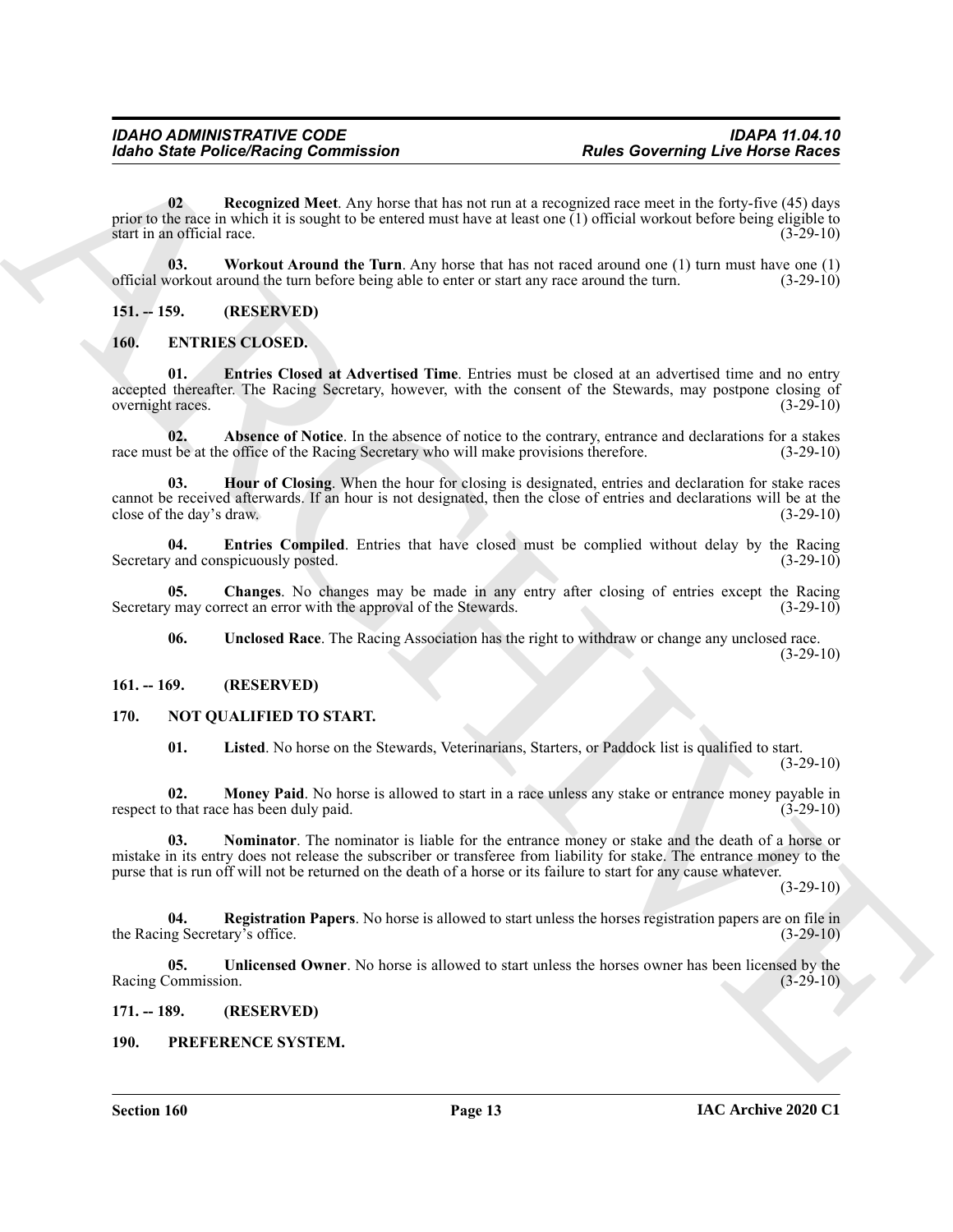For the Police State police Research Contents and the state of the state of the state of the state of the state of the state of the state of the state of the state of the state of the state of the state of the state of th **02 Recognized Meet**. Any horse that has not run at a recognized race meet in the forty-five (45) days prior to the race in which it is sought to be entered must have at least one  $\bar{1}$ ) official workout before being eligible to start in an official race. start in an official race.

<span id="page-12-21"></span><span id="page-12-20"></span>**03. Workout Around the Turn**. Any horse that has not raced around one (1) turn must have one (1) official workout around the turn before being able to enter or start any race around the turn.

<span id="page-12-0"></span>**151. -- 159. (RESERVED)**

#### <span id="page-12-6"></span><span id="page-12-1"></span>**160. ENTRIES CLOSED.**

<span id="page-12-9"></span>**01. Entries Closed at Advertised Time**. Entries must be closed at an advertised time and no entry accepted thereafter. The Racing Secretary, however, with the consent of the Stewards, may postpone closing of overnight races. (3-29-10)

<span id="page-12-7"></span>**02. Absence of Notice**. In the absence of notice to the contrary, entrance and declarations for a stakes race must be at the office of the Racing Secretary who will make provisions therefore. (3-29-10)

<span id="page-12-11"></span>**03. Hour of Closing**. When the hour for closing is designated, entries and declaration for stake races cannot be received afterwards. If an hour is not designated, then the close of entries and declarations will be at the close of the day's draw. (3-29-10) close of the day's draw.

<span id="page-12-10"></span>**04. Entries Compiled**. Entries that have closed must be complied without delay by the Racing Secretary and conspicuously posted. (3-29-10)

**05.** Changes. No changes may be made in any entry after closing of entries except the Racing  $\gamma$  may correct an error with the approval of the Stewards. (3-29-10) Secretary may correct an error with the approval of the Stewards.

<span id="page-12-12"></span><span id="page-12-8"></span>**06. Unclosed Race**. The Racing Association has the right to withdraw or change any unclosed race.  $(3-29-10)$ 

#### <span id="page-12-2"></span>**161. -- 169. (RESERVED)**

#### <span id="page-12-3"></span>**170. NOT QUALIFIED TO START.**

<span id="page-12-16"></span><span id="page-12-15"></span><span id="page-12-14"></span><span id="page-12-13"></span>**01. Listed**. No horse on the Stewards, Veterinarians, Starters, or Paddock list is qualified to start.  $(3-29-10)$ 

**02. Money Paid**. No horse is allowed to start in a race unless any stake or entrance money payable in that race has been duly paid. (3-29-10) respect to that race has been duly paid.

**03. Nominator**. The nominator is liable for the entrance money or stake and the death of a horse or mistake in its entry does not release the subscriber or transferee from liability for stake. The entrance money to the purse that is run off will not be returned on the death of a horse or its failure to start for any cause whatever.

 $(3-29-10)$ 

<span id="page-12-17"></span>**04. Registration Papers**. No horse is allowed to start unless the horses registration papers are on file in the Racing Secretary's office. (3-29-10)

<span id="page-12-18"></span>**05. Unlicensed Owner**. No horse is allowed to start unless the horses owner has been licensed by the Racing Commission. (3-29-10)

#### <span id="page-12-4"></span>**171. -- 189. (RESERVED)**

#### <span id="page-12-19"></span><span id="page-12-5"></span>**190. PREFERENCE SYSTEM.**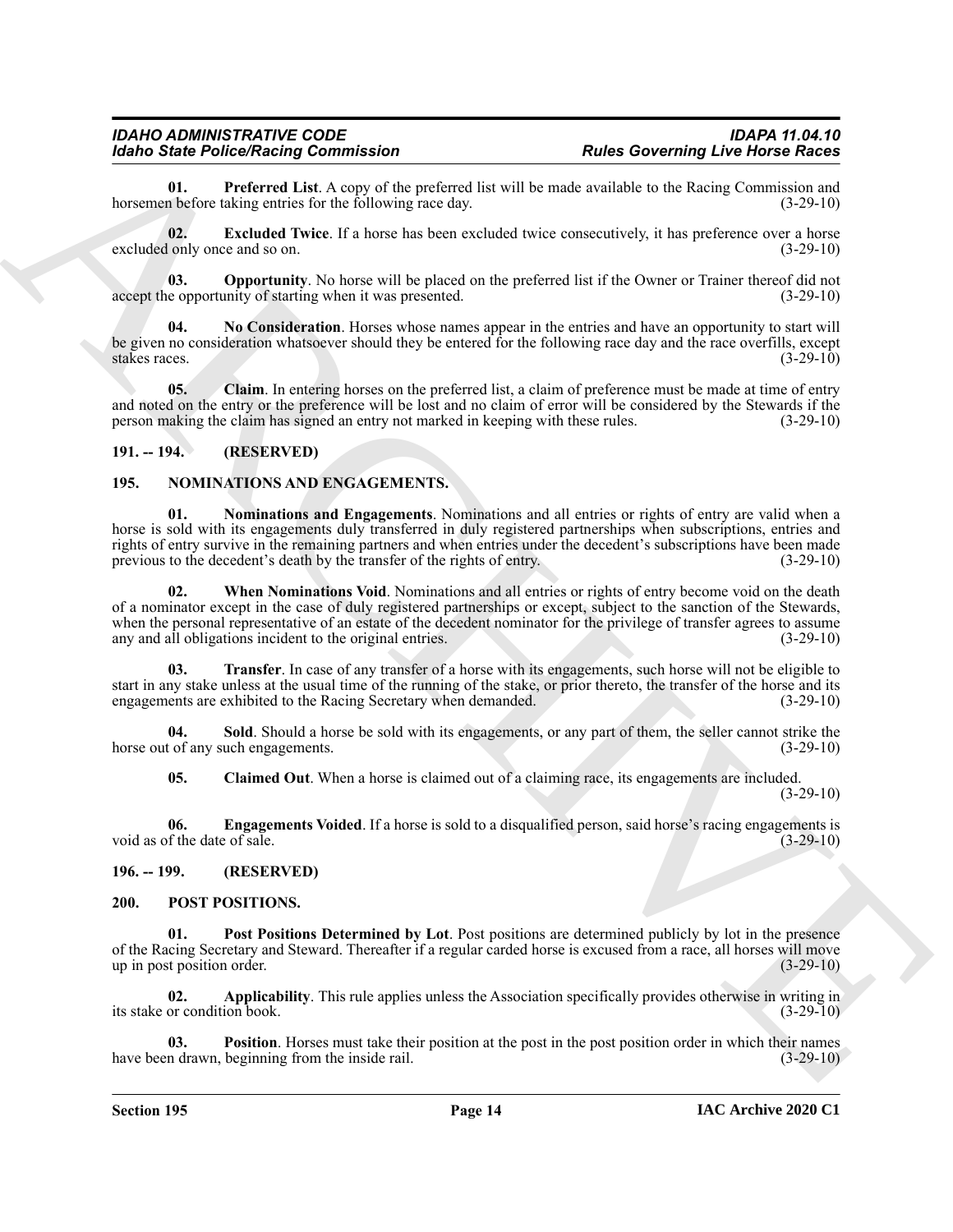<span id="page-13-19"></span>**01. Preferred List**. A copy of the preferred list will be made available to the Racing Commission and n before taking entries for the following race day. (3-29-10) horsemen before taking entries for the following race day.

<span id="page-13-16"></span>**02. Excluded Twice**. If a horse has been excluded twice consecutively, it has preference over a horse lonly once and so on. (3-29-10) excluded only once and so on.

<span id="page-13-18"></span>**03. Opportunity**. No horse will be placed on the preferred list if the Owner or Trainer thereof did not e opportunity of starting when it was presented. (3-29-10) accept the opportunity of starting when it was presented.

<span id="page-13-17"></span>**04. No Consideration**. Horses whose names appear in the entries and have an opportunity to start will be given no consideration whatsoever should they be entered for the following race day and the race overfills, except stakes races. (3-29-10) stakes races. (3-29-10)

<span id="page-13-15"></span>**05. Claim**. In entering horses on the preferred list, a claim of preference must be made at time of entry and noted on the entry or the preference will be lost and no claim of error will be considered by the Stewards if the person making the claim has signed an entry not marked in keeping with these rules. (3-29-10) person making the claim has signed an entry not marked in keeping with these rules.

#### <span id="page-13-0"></span>**191. -- 194. (RESERVED)**

#### <span id="page-13-7"></span><span id="page-13-4"></span><span id="page-13-1"></span>**195. NOMINATIONS AND ENGAGEMENTS.**

<span id="page-13-10"></span>**01. Nominations and Engagements**. Nominations and all entries or rights of entry are valid when a horse is sold with its engagements duly transferred in duly registered partnerships when subscriptions, entries and rights of entry survive in the remaining partners and when entries under the decedent's subscriptions have been made previous to the decedent's death by the transfer of the rights of entry. (3-29-10)

**Example Professional Constraints** Constraints and the latter state of the state of the state of the state of the state of the state of the state of the state of the state of the state of the state of the state of the sta **02. When Nominations Void**. Nominations and all entries or rights of entry become void on the death of a nominator except in the case of duly registered partnerships or except, subject to the sanction of the Stewards, when the personal representative of an estate of the decedent nominator for the privilege of transfer agrees to assume any and all obligations incident to the original entries. (3-29-10)

<span id="page-13-9"></span>**03. Transfer**. In case of any transfer of a horse with its engagements, such horse will not be eligible to start in any stake unless at the usual time of the running of the stake, or prior thereto, the transfer of the horse and its engagements are exhibited to the Racing Secretary when demanded. (3-29-10)

**04.** Sold. Should a horse be sold with its engagements, or any part of them, the seller cannot strike the tof any such engagements. (3-29-10) horse out of any such engagements.

<span id="page-13-8"></span><span id="page-13-6"></span><span id="page-13-5"></span>**05. Claimed Out**. When a horse is claimed out of a claiming race, its engagements are included.  $(3-29-10)$ 

**06. Engagements Voided**. If a horse is sold to a disqualified person, said horse's racing engagements is void as of the date of sale. (3-29-10)

<span id="page-13-11"></span><span id="page-13-2"></span>**196. -- 199. (RESERVED)**

#### <span id="page-13-3"></span>**200. POST POSITIONS.**

<span id="page-13-14"></span>**01. Post Positions Determined by Lot**. Post positions are determined publicly by lot in the presence of the Racing Secretary and Steward. Thereafter if a regular carded horse is excused from a race, all horses will move up in post position order. (3-29-10)

<span id="page-13-12"></span>**02. Applicability**. This rule applies unless the Association specifically provides otherwise in writing in its stake or condition book. (3-29-10)

<span id="page-13-13"></span>**Position**. Horses must take their position at the post in the post position order in which their names have been drawn, beginning from the inside rail. (3-29-10) (3-29-10)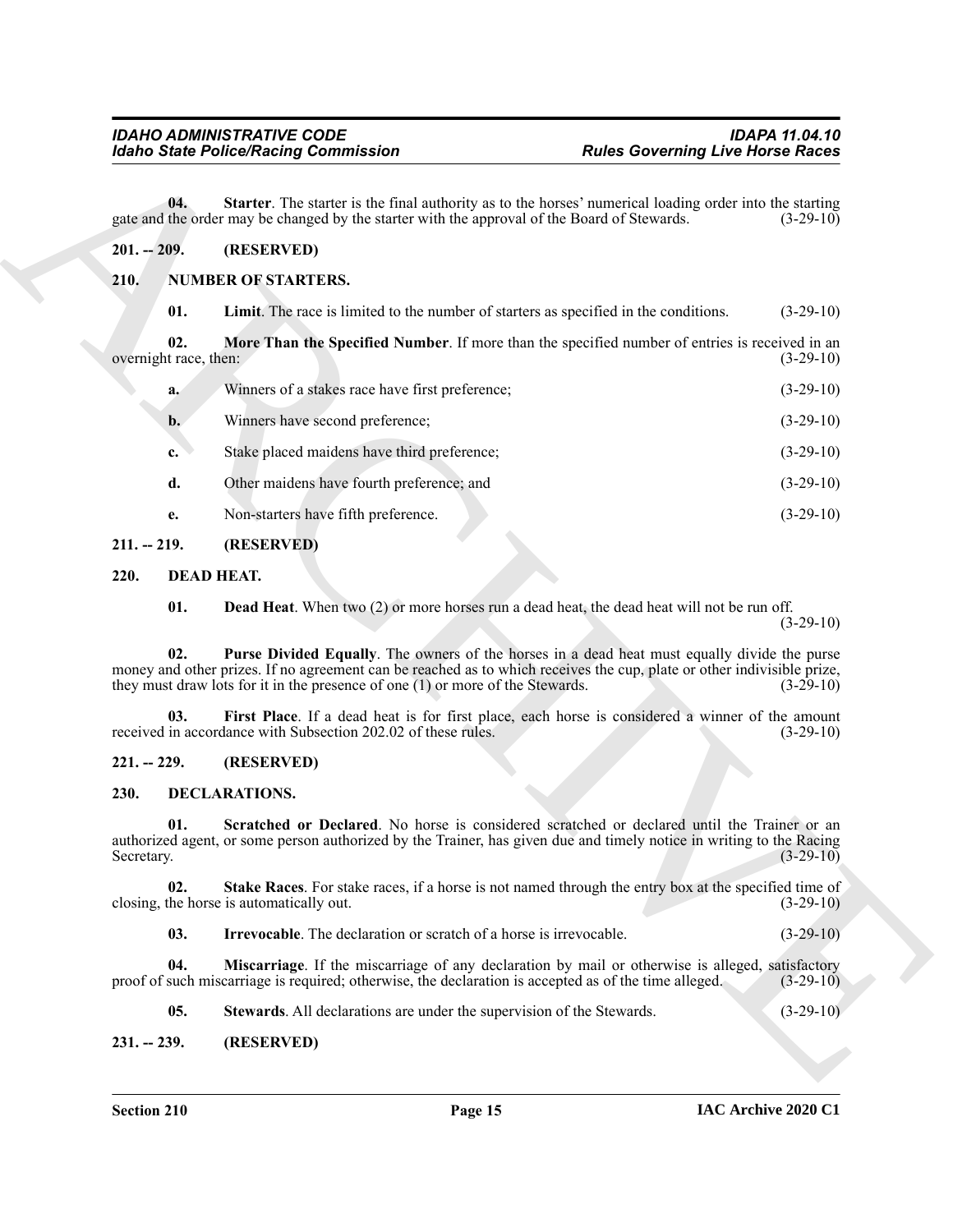#### <span id="page-14-20"></span><span id="page-14-0"></span>**201. -- 209. (RESERVED)**

#### <span id="page-14-19"></span><span id="page-14-18"></span><span id="page-14-17"></span><span id="page-14-1"></span>**210. NUMBER OF STARTERS.**

|                              | <b>Idaho State Police/Racing Commission</b>                                                                                                                                                                                                                                                                | <b>Rules Governing Live Horse Races</b> |             |
|------------------------------|------------------------------------------------------------------------------------------------------------------------------------------------------------------------------------------------------------------------------------------------------------------------------------------------------------|-----------------------------------------|-------------|
| 04.                          | Starter. The starter is the final authority as to the horses' numerical loading order into the starting<br>gate and the order may be changed by the starter with the approval of the Board of Stewards.                                                                                                    |                                         | $(3-29-10)$ |
| $201. - 209.$                | (RESERVED)                                                                                                                                                                                                                                                                                                 |                                         |             |
| 210.                         | <b>NUMBER OF STARTERS.</b>                                                                                                                                                                                                                                                                                 |                                         |             |
| 01.                          | Limit. The race is limited to the number of starters as specified in the conditions.                                                                                                                                                                                                                       |                                         | $(3-29-10)$ |
| 02.<br>overnight race, then: | More Than the Specified Number. If more than the specified number of entries is received in an                                                                                                                                                                                                             |                                         | $(3-29-10)$ |
| a.                           | Winners of a stakes race have first preference;                                                                                                                                                                                                                                                            |                                         | $(3-29-10)$ |
| b.                           | Winners have second preference;                                                                                                                                                                                                                                                                            |                                         | $(3-29-10)$ |
| c.                           | Stake placed maidens have third preference;                                                                                                                                                                                                                                                                |                                         | $(3-29-10)$ |
| d.                           | Other maidens have fourth preference; and                                                                                                                                                                                                                                                                  |                                         | $(3-29-10)$ |
| e.                           | Non-starters have fifth preference.                                                                                                                                                                                                                                                                        |                                         | $(3-29-10)$ |
| $211. - 219.$                | (RESERVED)                                                                                                                                                                                                                                                                                                 |                                         |             |
| 220.                         | <b>DEAD HEAT.</b>                                                                                                                                                                                                                                                                                          |                                         |             |
| 01.                          | <b>Dead Heat.</b> When two (2) or more horses run a dead heat, the dead heat will not be run off.                                                                                                                                                                                                          |                                         | $(3-29-10)$ |
| 02.                          | Purse Divided Equally. The owners of the horses in a dead heat must equally divide the purse<br>money and other prizes. If no agreement can be reached as to which receives the cup, plate or other indivisible prize,<br>they must draw lots for it in the presence of one $(1)$ or more of the Stewards. |                                         | $(3-29-10)$ |
| 03.                          | First Place. If a dead heat is for first place, each horse is considered a winner of the amount<br>received in accordance with Subsection 202.02 of these rules.                                                                                                                                           |                                         | $(3-29-10)$ |
| $221. - 229.$                | (RESERVED)                                                                                                                                                                                                                                                                                                 |                                         |             |
| 230.                         | DECLARATIONS.                                                                                                                                                                                                                                                                                              |                                         |             |
| 01.<br>Secretary.            | Scratched or Declared. No horse is considered scratched or declared until the Trainer or an<br>authorized agent, or some person authorized by the Trainer, has given due and timely notice in writing to the Racing                                                                                        |                                         | $(3-29-10)$ |
| 02.                          | Stake Races. For stake races, if a horse is not named through the entry box at the specified time of<br>closing, the horse is automatically out.                                                                                                                                                           |                                         | $(3-29-10)$ |
| 03.                          | <b>Irrevocable.</b> The declaration or scratch of a horse is irrevocable.                                                                                                                                                                                                                                  |                                         | $(3-29-10)$ |
| 04.                          | Miscarriage. If the miscarriage of any declaration by mail or otherwise is alleged, satisfactory<br>proof of such miscarriage is required; otherwise, the declaration is accepted as of the time alleged.                                                                                                  |                                         | $(3-29-10)$ |
| 05.                          | Stewards. All declarations are under the supervision of the Stewards.                                                                                                                                                                                                                                      |                                         | $(3-29-10)$ |
|                              |                                                                                                                                                                                                                                                                                                            |                                         |             |

#### <span id="page-14-2"></span>**211. -- 219. (RESERVED)**

## <span id="page-14-10"></span><span id="page-14-8"></span><span id="page-14-7"></span><span id="page-14-3"></span>**220. DEAD HEAT.**

# <span id="page-14-9"></span><span id="page-14-4"></span>**221. -- 229. (RESERVED)**

#### <span id="page-14-15"></span><span id="page-14-14"></span><span id="page-14-11"></span><span id="page-14-5"></span>**230. DECLARATIONS.**

#### <span id="page-14-16"></span><span id="page-14-13"></span><span id="page-14-12"></span><span id="page-14-6"></span>**231. -- 239. (RESERVED)**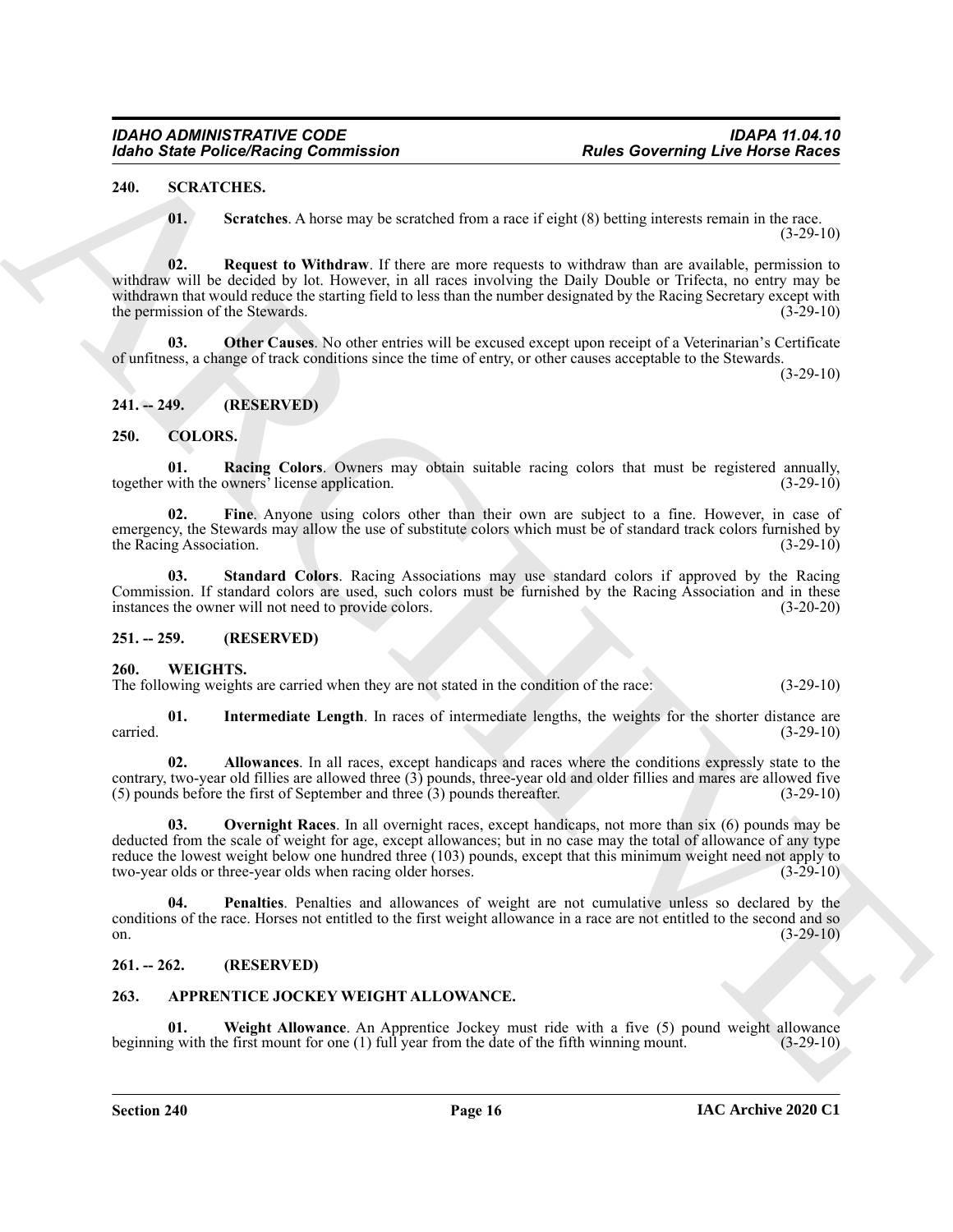#### <span id="page-15-0"></span>**240. SCRATCHES.**

<span id="page-15-16"></span><span id="page-15-15"></span><span id="page-15-13"></span>**01. Scratches**. A horse may be scratched from a race if eight (8) betting interests remain in the race.  $(3-29-10)$ 

For the Poisson Research Commutation<br>
24. We also the control of the secondary commutation<br>
24. We also the secondary of the secondary from a reason of region (b) had the state second in the second<br>
25. We also distribute **02. Request to Withdraw**. If there are more requests to withdraw than are available, permission to withdraw will be decided by lot. However, in all races involving the Daily Double or Trifecta, no entry may be withdrawn that would reduce the starting field to less than the number designated by the Racing Secretary except with the permission of the Stewards. (3-29-10)

<span id="page-15-14"></span>**03. Other Causes**. No other entries will be excused except upon receipt of a Veterinarian's Certificate of unfitness, a change of track conditions since the time of entry, or other causes acceptable to the Stewards.

 $(3-29-10)$ 

## <span id="page-15-1"></span>**241. -- 249. (RESERVED)**

#### <span id="page-15-9"></span><span id="page-15-2"></span>**250. COLORS.**

<span id="page-15-11"></span>**01. Racing Colors**. Owners may obtain suitable racing colors that must be registered annually, with the owners' license application. (3-29-10) together with the owners<sup>3</sup> license application.

<span id="page-15-10"></span>**02. Fine**. Anyone using colors other than their own are subject to a fine. However, in case of emergency, the Stewards may allow the use of substitute colors which must be of standard track colors furnished by the Racing Association. (3-29-10) (3-29-10)

<span id="page-15-12"></span>**03. Standard Colors**. Racing Associations may use standard colors if approved by the Racing Commission. If standard colors are used, such colors must be furnished by the Racing Association and in these instances the owner will not need to provide colors. (3-20-20) instances the owner will not need to provide colors.

#### <span id="page-15-3"></span>**251. -- 259. (RESERVED)**

#### <span id="page-15-17"></span><span id="page-15-4"></span>**260. WEIGHTS.**

The following weights are carried when they are not stated in the condition of the race: (3-29-10)

<span id="page-15-19"></span>**01. Intermediate Length**. In races of intermediate lengths, the weights for the shorter distance are carried. (3-29-10)

<span id="page-15-18"></span>**02. Allowances**. In all races, except handicaps and races where the conditions expressly state to the contrary, two-year old fillies are allowed three  $(3)$  pounds, three-year old and older fillies and mares are allowed five  $(5)$  pounds before the first of September and three  $(3)$  pounds thereafter.  $(3-29-10)$  $(5)$  pounds before the first of September and three  $(3)$  pounds thereafter.

<span id="page-15-20"></span>**03. Overnight Races**. In all overnight races, except handicaps, not more than six (6) pounds may be deducted from the scale of weight for age, except allowances; but in no case may the total of allowance of any type reduce the lowest weight below one hundred three (103) pounds, except that this minimum weight need not apply to two-year olds or three-year olds when racing older horses. (3-29-10)

<span id="page-15-21"></span>**04. Penalties**. Penalties and allowances of weight are not cumulative unless so declared by the conditions of the race. Horses not entitled to the first weight allowance in a race are not entitled to the second and so on.  $(3-29-10)$ 

#### <span id="page-15-5"></span>**261. -- 262. (RESERVED)**

#### <span id="page-15-7"></span><span id="page-15-6"></span>**263. APPRENTICE JOCKEY WEIGHT ALLOWANCE.**

<span id="page-15-8"></span>**01.** Weight Allowance. An Apprentice Jockey must ride with a five (5) pound weight allowance g with the first mount for one (1) full year from the date of the fifth winning mount. (3-29-10) beginning with the first mount for one  $(1)$  full year from the date of the fifth winning mount.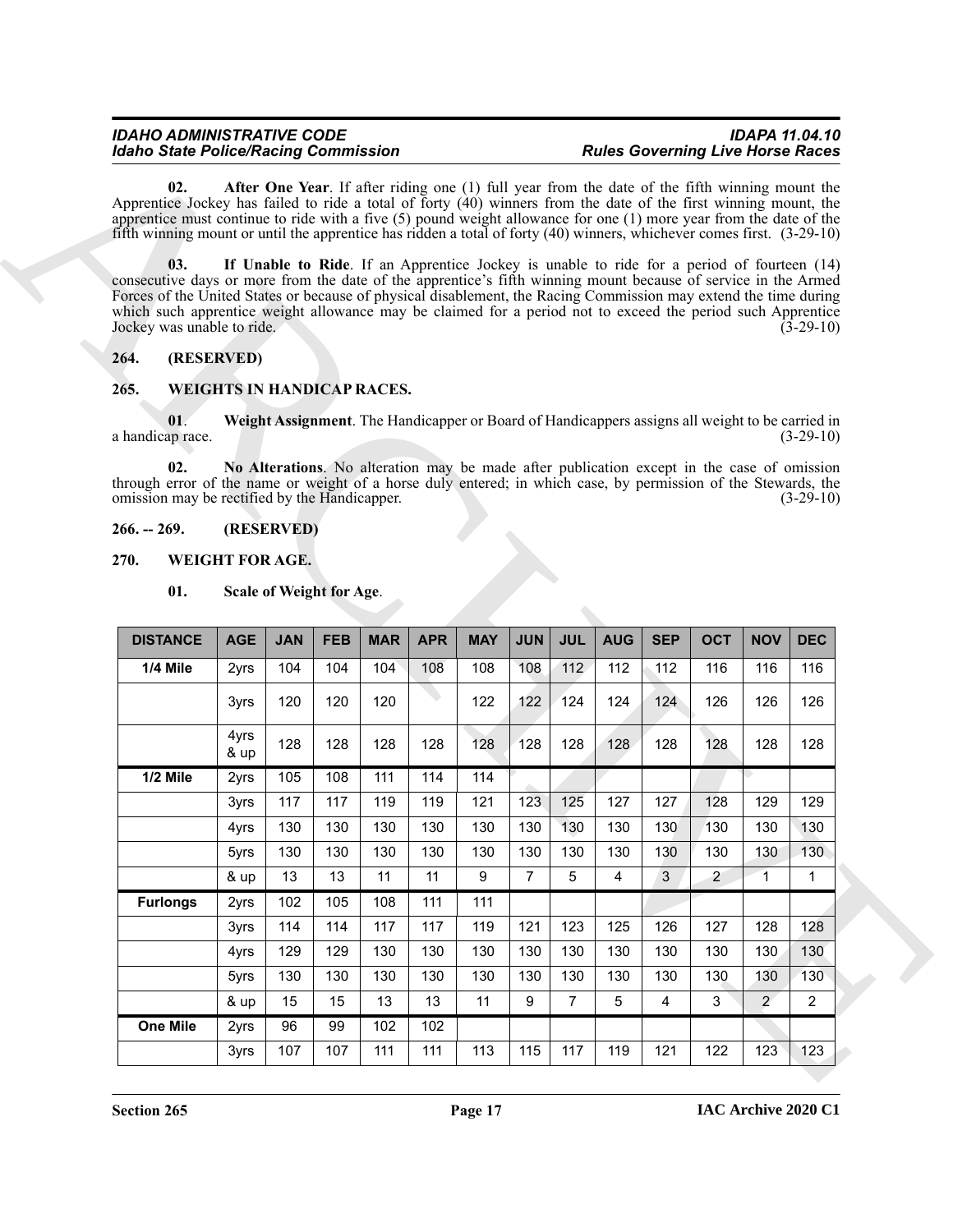#### <span id="page-16-5"></span><span id="page-16-4"></span><span id="page-16-0"></span>**264. (RESERVED)**

## <span id="page-16-10"></span><span id="page-16-9"></span><span id="page-16-8"></span><span id="page-16-1"></span>**265. WEIGHTS IN HANDICAP RACES.**

#### <span id="page-16-2"></span>**266. -- 269. (RESERVED)**

#### <span id="page-16-3"></span>**270. WEIGHT FOR AGE.**

#### <span id="page-16-7"></span><span id="page-16-6"></span>**01. Scale of Weight for Age**.

| <b>Idaho State Police/Racing Commission</b>                                                                                                                                                                                                                                                                                                                                            |                                   |                          |            |            |            |            |                |                 |                |            |                                                                                                 | <b>Rules Governing Live Horse Races</b> |                  |
|----------------------------------------------------------------------------------------------------------------------------------------------------------------------------------------------------------------------------------------------------------------------------------------------------------------------------------------------------------------------------------------|-----------------------------------|--------------------------|------------|------------|------------|------------|----------------|-----------------|----------------|------------|-------------------------------------------------------------------------------------------------|-----------------------------------------|------------------|
| 02.<br>Apprentice Jockey has failed to ride a total of forty $(40)$ winners from the date of the first winning mount, the<br>apprentice must continue to ride with a five $(5)$ pound weight allowance for one $(1)$ more year from the date of the<br>fifth winning mount or until the apprentice has ridden a total of forty $(40)$ winners, whichever comes first. $(3-29-10)$      |                                   |                          |            |            |            |            |                |                 |                |            | After One Year. If after riding one (1) full year from the date of the fifth winning mount the  |                                         |                  |
| 03.<br>consecutive days or more from the date of the apprentice's fifth winning mount because of service in the Armed<br>Forces of the United States or because of physical disablement, the Racing Commission may extend the time during<br>which such apprentice weight allowance may be claimed for a period not to exceed the period such Apprentice<br>Jockey was unable to ride. |                                   |                          |            |            |            |            |                |                 |                |            | If Unable to Ride. If an Apprentice Jockey is unable to ride for a period of fourteen (14)      |                                         | $(3-29-10)$      |
| 264.                                                                                                                                                                                                                                                                                                                                                                                   | (RESERVED)                        |                          |            |            |            |            |                |                 |                |            |                                                                                                 |                                         |                  |
| 265.                                                                                                                                                                                                                                                                                                                                                                                   | <b>WEIGHTS IN HANDICAP RACES.</b> |                          |            |            |            |            |                |                 |                |            |                                                                                                 |                                         |                  |
| 01.<br>a handicap race.                                                                                                                                                                                                                                                                                                                                                                |                                   |                          |            |            |            |            |                |                 |                |            | Weight Assignment. The Handicapper or Board of Handicappers assigns all weight to be carried in |                                         | $(3-29-10)$      |
| 02.<br>through error of the name or weight of a horse duly entered; in which case, by permission of the Stewards, the<br>omission may be rectified by the Handicapper.                                                                                                                                                                                                                 |                                   |                          |            |            |            |            |                |                 |                |            | No Alterations. No alteration may be made after publication except in the case of omission      |                                         | $(3-29-10)$      |
| $266. - 269.$                                                                                                                                                                                                                                                                                                                                                                          |                                   | (RESERVED)               |            |            |            |            |                |                 |                |            |                                                                                                 |                                         |                  |
| 270.                                                                                                                                                                                                                                                                                                                                                                                   | WEIGHT FOR AGE.                   |                          |            |            |            |            |                |                 |                |            |                                                                                                 |                                         |                  |
|                                                                                                                                                                                                                                                                                                                                                                                        |                                   |                          |            |            |            |            |                |                 |                |            |                                                                                                 |                                         |                  |
| 01.                                                                                                                                                                                                                                                                                                                                                                                    |                                   | Scale of Weight for Age. |            |            |            |            |                |                 |                |            |                                                                                                 |                                         |                  |
| <b>DISTANCE</b>                                                                                                                                                                                                                                                                                                                                                                        | <b>AGE</b>                        | <b>JAN</b>               | <b>FEB</b> | <b>MAR</b> | <b>APR</b> | <b>MAY</b> | <b>JUN</b>     | <b>JUL</b>      | <b>AUG</b>     | <b>SEP</b> | <b>OCT</b>                                                                                      | <b>NOV</b>                              | <b>DEC</b>       |
| 1/4 Mile                                                                                                                                                                                                                                                                                                                                                                               | 2yrs                              | 104                      | 104        | 104        | 108        | 108        | 108            | 112             | 112            | 112        | 116                                                                                             | 116                                     | 116              |
|                                                                                                                                                                                                                                                                                                                                                                                        | 3yrs                              | 120                      | 120        | 120        |            | 122        | 122            | 124             | 124            | 124        | 126                                                                                             | 126                                     | 126              |
|                                                                                                                                                                                                                                                                                                                                                                                        | 4yrs                              | 128                      | 128        | 128        | 128        | 128        | 128            | 128             | 128            | 128        | 128                                                                                             | 128                                     | 128              |
| 1/2 Mile                                                                                                                                                                                                                                                                                                                                                                               | & up<br>2yrs                      | 105                      | 108        | 111        | 114        | 114        |                |                 |                |            |                                                                                                 |                                         |                  |
|                                                                                                                                                                                                                                                                                                                                                                                        | 3yrs                              | 117                      | 117        | 119        | 119        | 121        | 123            | 125             | 127            | 127        | 128                                                                                             | 129                                     | 129              |
|                                                                                                                                                                                                                                                                                                                                                                                        | 4yrs                              | 130                      | 130        | 130        | 130        | 130        | 130            | 130             | 130            | 130        | 130                                                                                             | 130                                     | 130              |
|                                                                                                                                                                                                                                                                                                                                                                                        | 5yrs                              | 130                      | 130        | 130        | 130        | 130        | 130            | 130             | 130            | 130        | 130                                                                                             | 130                                     | 130 <sub>1</sub> |
|                                                                                                                                                                                                                                                                                                                                                                                        | & up                              | 13                       | 13         | 11         | 11         | 9          | $\overline{7}$ | $5\phantom{.0}$ | $\overline{4}$ | 3          | $\overline{2}$                                                                                  | $\overline{1}$                          | $\mathbf{1}$     |
| <b>Furlongs</b>                                                                                                                                                                                                                                                                                                                                                                        | 2yrs                              | 102                      | 105        | 108        | 111        | 111        |                |                 |                |            |                                                                                                 |                                         |                  |
|                                                                                                                                                                                                                                                                                                                                                                                        | 3yrs                              | 114                      | 114        | 117        | 117        | 119        | 121            | 123             | 125            | 126        | 127                                                                                             | 128                                     | 128              |
|                                                                                                                                                                                                                                                                                                                                                                                        | 4yrs                              | 129                      | 129        | 130        | 130        | 130        | 130            | 130             | 130            | 130        | 130                                                                                             | 130                                     | 130              |
|                                                                                                                                                                                                                                                                                                                                                                                        | 5yrs                              | 130                      | 130        | 130        | 130        | 130        | 130            | 130             | 130            | 130        | 130                                                                                             | 130                                     | 130              |
|                                                                                                                                                                                                                                                                                                                                                                                        | & up                              | 15                       | 15         | 13         | 13         | 11         | 9              | $\overline{7}$  | 5              | 4          | 3                                                                                               | $\overline{2}$                          | $\overline{2}$   |
| <b>One Mile</b>                                                                                                                                                                                                                                                                                                                                                                        | 2yrs                              | 96                       | 99         | 102        | 102        |            |                |                 |                |            |                                                                                                 |                                         |                  |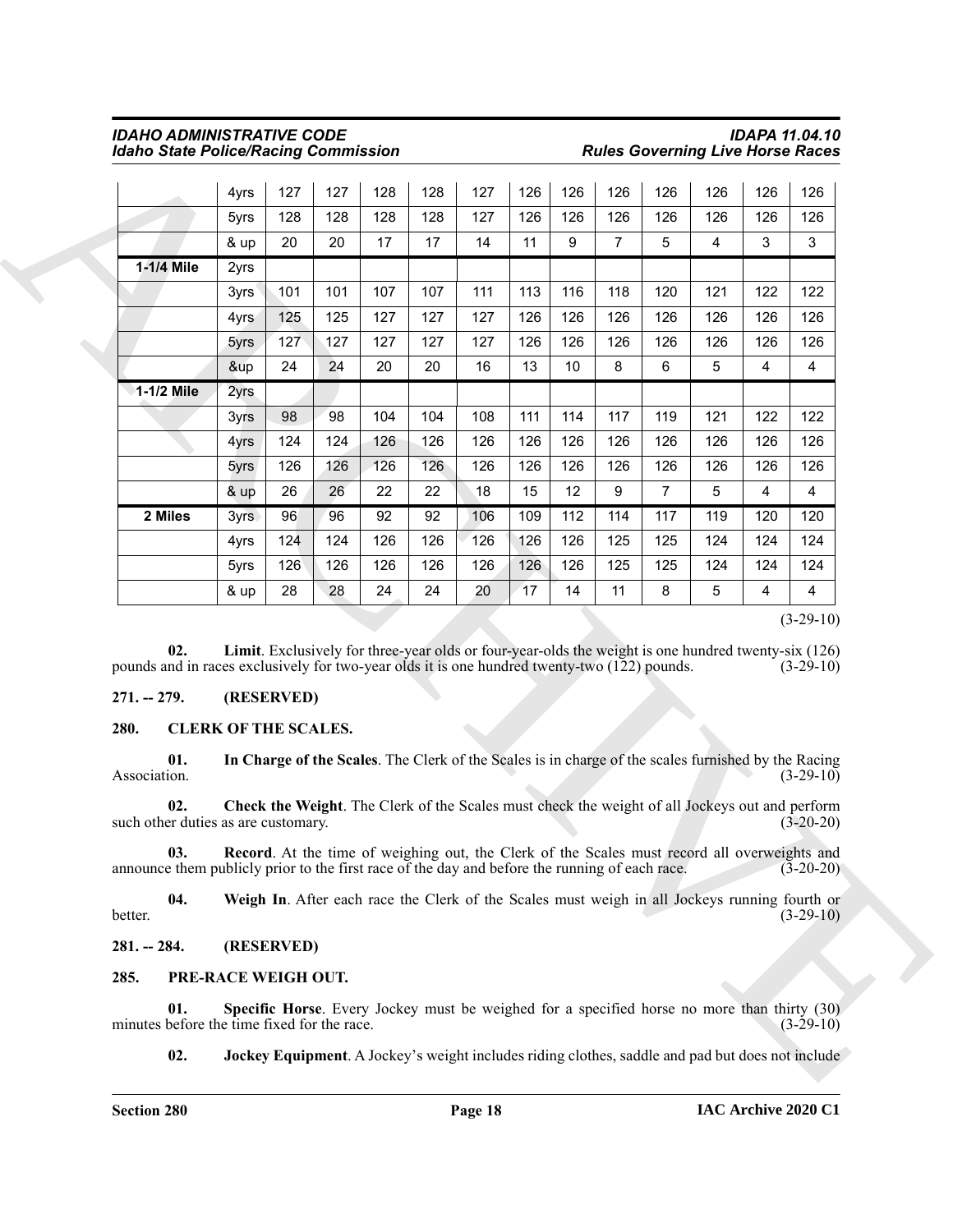|                                                                                                                                                                                                                                                                                                                    | 4yrs                        | 127        | 127       | 128       | 128       | 127       | 126       | 126       | 126            | 126            | 126                                                                                                  | 126                   | 126                        |
|--------------------------------------------------------------------------------------------------------------------------------------------------------------------------------------------------------------------------------------------------------------------------------------------------------------------|-----------------------------|------------|-----------|-----------|-----------|-----------|-----------|-----------|----------------|----------------|------------------------------------------------------------------------------------------------------|-----------------------|----------------------------|
|                                                                                                                                                                                                                                                                                                                    | 5yrs                        | 128        | 128       | 128       | 128       | 127       | 126       | 126       | 126            | 126            | 126                                                                                                  | 126                   | 126                        |
|                                                                                                                                                                                                                                                                                                                    | & up                        | 20         | 20        | 17        | 17        | 14        | 11        | 9         | $\overline{7}$ | 5              | 4                                                                                                    | 3                     | 3                          |
| 1-1/4 Mile                                                                                                                                                                                                                                                                                                         | 2yrs                        |            |           |           |           |           |           |           |                |                |                                                                                                      |                       |                            |
|                                                                                                                                                                                                                                                                                                                    | 3yrs                        | 101        | 101       | 107       | 107       | 111       | 113       | 116       | 118            | 120            | 121                                                                                                  | 122                   | 122                        |
|                                                                                                                                                                                                                                                                                                                    | 4yrs                        | 125        | 125       | 127       | 127       | 127       | 126       | 126       | 126            | 126            | 126                                                                                                  | 126                   | 126                        |
|                                                                                                                                                                                                                                                                                                                    | 5yrs                        | 127        | 127       | 127       | 127       | 127       | 126       | 126       | 126            | 126            | 126                                                                                                  | 126                   | 126                        |
|                                                                                                                                                                                                                                                                                                                    | &up                         | 24         | 24        | 20        | 20        | 16        | 13        | 10        | 8              | 6              | 5                                                                                                    | 4                     | 4                          |
| 1-1/2 Mile                                                                                                                                                                                                                                                                                                         | 2yrs                        |            |           |           |           |           |           |           |                |                |                                                                                                      |                       |                            |
|                                                                                                                                                                                                                                                                                                                    | 3yrs                        | 98         | 98        | 104       | 104       | 108       | 111       | 114       | 117            | 119            | 121                                                                                                  | 122                   | 122                        |
|                                                                                                                                                                                                                                                                                                                    | 4yrs                        | 124        | 124       | 126       | 126       | 126       | 126       | 126       | 126            | 126            | 126                                                                                                  | 126                   | 126                        |
|                                                                                                                                                                                                                                                                                                                    | 5yrs                        | 126        | 126       | 126       | 126       | 126       | 126       | 126       | 126            | 126            | 126                                                                                                  | 126                   | 126                        |
|                                                                                                                                                                                                                                                                                                                    | & up                        | 26         | 26        | 22        | 22        | 18        | 15        | 12        | 9              | $\overline{7}$ | 5                                                                                                    | 4                     | 4                          |
| 2 Miles                                                                                                                                                                                                                                                                                                            | 3yrs                        | 96         | 96        | 92        | 92        | 106       | 109       | 112       | 114            | 117            | 119                                                                                                  | 120                   | 120                        |
|                                                                                                                                                                                                                                                                                                                    | 4yrs                        | 124        | 124       | 126       | 126       | 126       | 126       | 126       | 125            | 125            | 124                                                                                                  | 124                   | 124                        |
|                                                                                                                                                                                                                                                                                                                    | 5yrs<br>& up                | 126<br>28  | 126<br>28 | 126<br>24 | 126<br>24 | 126<br>20 | 126<br>17 | 126<br>14 | 125<br>11      | 125<br>8       | 124<br>5                                                                                             | 124<br>$\overline{4}$ | 124<br>4                   |
| 02.                                                                                                                                                                                                                                                                                                                |                             |            |           |           |           |           |           |           |                |                | Limit. Exclusively for three-year olds or four-year-olds the weight is one hundred twenty-six (126)  |                       | $(3-29-10)$<br>$(3-29-10)$ |
|                                                                                                                                                                                                                                                                                                                    |                             | (RESERVED) |           |           |           |           |           |           |                |                |                                                                                                      |                       |                            |
| 01.                                                                                                                                                                                                                                                                                                                | <b>CLERK OF THE SCALES.</b> |            |           |           |           |           |           |           |                |                | In Charge of the Scales. The Clerk of the Scales is in charge of the scales furnished by the Racing  |                       | $(3-29-10)$                |
| 02.                                                                                                                                                                                                                                                                                                                |                             |            |           |           |           |           |           |           |                |                | Check the Weight. The Clerk of the Scales must check the weight of all Jockeys out and perform       |                       | $(3-20-20)$                |
| 03.                                                                                                                                                                                                                                                                                                                |                             |            |           |           |           |           |           |           |                |                | <b>Record</b> . At the time of weighing out, the Clerk of the Scales must record all overweights and |                       | $(3-20-20)$                |
| 04.                                                                                                                                                                                                                                                                                                                |                             |            |           |           |           |           |           |           |                |                | Weigh In. After each race the Clerk of the Scales must weigh in all Jockeys running fourth or        |                       | $(3-29-10)$                |
|                                                                                                                                                                                                                                                                                                                    |                             | (RESERVED) |           |           |           |           |           |           |                |                |                                                                                                      |                       |                            |
| pounds and in races exclusively for two-year olds it is one hundred twenty-two (122) pounds.<br>$271. - 279.$<br>280.<br>Association.<br>such other duties as are customary.<br>announce them publicly prior to the first race of the day and before the running of each race.<br>better.<br>$281. - 284.$<br>285. | PRE-RACE WEIGH OUT.         |            |           |           |           |           |           |           |                |                |                                                                                                      |                       |                            |
| 01.<br>minutes before the time fixed for the race.                                                                                                                                                                                                                                                                 |                             |            |           |           |           |           |           |           |                |                | Specific Horse. Every Jockey must be weighed for a specified horse no more than thirty (30)          |                       | $(3-29-10)$                |

#### <span id="page-17-12"></span><span id="page-17-0"></span>**271. -- 279. (RESERVED)**

#### <span id="page-17-7"></span><span id="page-17-6"></span><span id="page-17-5"></span><span id="page-17-4"></span><span id="page-17-1"></span>**280. CLERK OF THE SCALES.**

#### <span id="page-17-11"></span><span id="page-17-10"></span><span id="page-17-9"></span><span id="page-17-8"></span><span id="page-17-3"></span><span id="page-17-2"></span>**285. PRE-RACE WEIGH OUT.**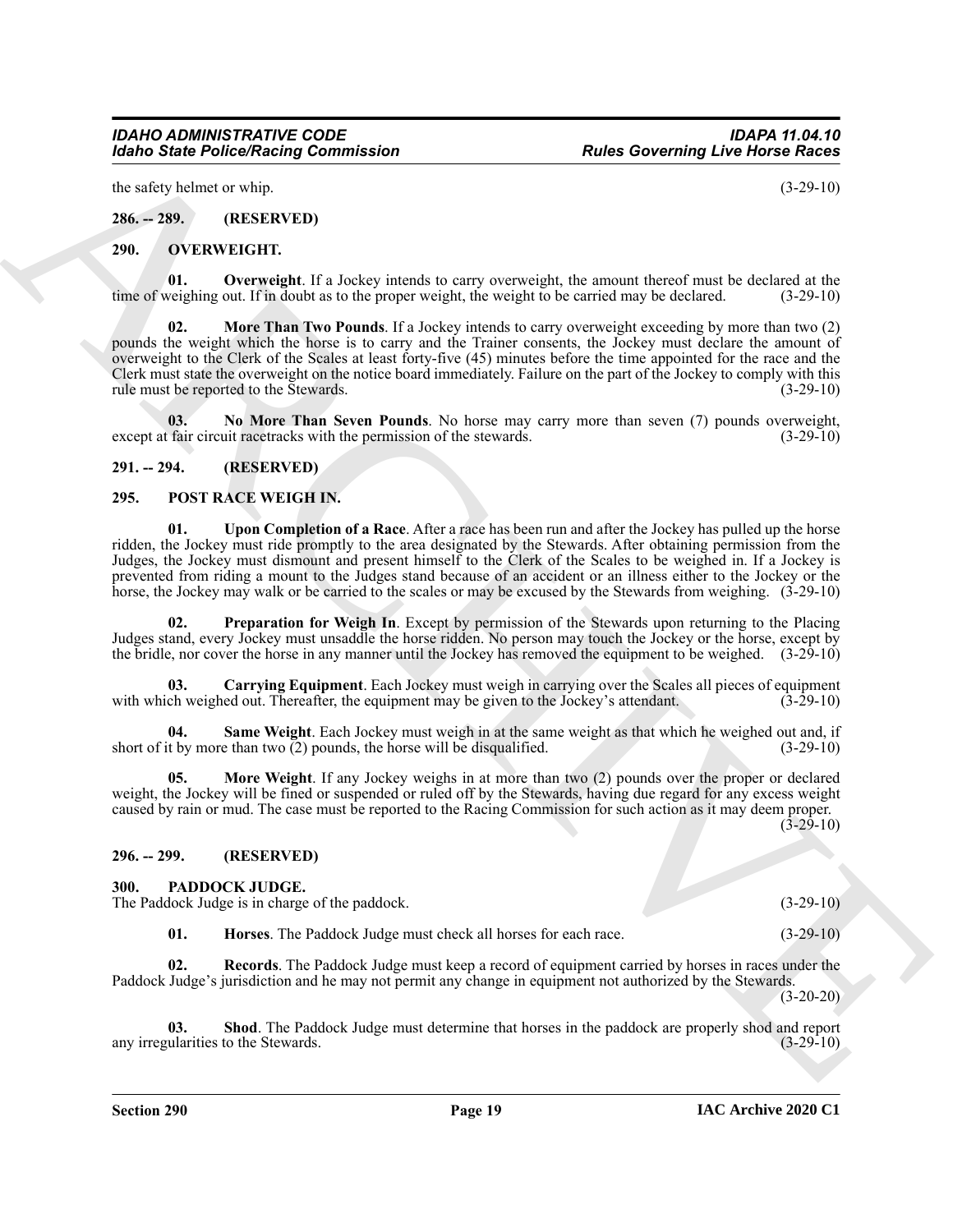the safety helmet or whip.  $(3-29-10)$ 

<span id="page-18-0"></span>**286. -- 289. (RESERVED)**

#### <span id="page-18-6"></span><span id="page-18-1"></span>**290. OVERWEIGHT.**

<span id="page-18-9"></span><span id="page-18-7"></span>**01. Overweight**. If a Jockey intends to carry overweight, the amount thereof must be declared at the veighing out. If in doubt as to the proper weight, the weight to be carried may be declared. (3-29-10) time of weighing out. If in doubt as to the proper weight, the weight to be carried may be declared.

Form Similar Policies Nearly Governingston<br>
Button Correlation of the Similar Company of the Similar Correlation of the Similar Correlation of the Similar Correlation of the Similar Correlation of the Similar Correlation **02. More Than Two Pounds**. If a Jockey intends to carry overweight exceeding by more than two (2) pounds the weight which the horse is to carry and the Trainer consents, the Jockey must declare the amount of overweight to the Clerk of the Scales at least forty-five (45) minutes before the time appointed for the race and the Clerk must state the overweight on the notice board immediately. Failure on the part of the Jockey to comply with this rule must be reported to the Stewards. (3-29-10)

<span id="page-18-8"></span>**03.** No More Than Seven Pounds. No horse may carry more than seven (7) pounds overweight, fair circuit racetracks with the permission of the stewards. (3-29-10) except at fair circuit racetracks with the permission of the stewards.

#### <span id="page-18-2"></span>**291. -- 294. (RESERVED)**

#### <span id="page-18-14"></span><span id="page-18-3"></span>**295. POST RACE WEIGH IN.**

<span id="page-18-19"></span>**01. Upon Completion of a Race**. After a race has been run and after the Jockey has pulled up the horse ridden, the Jockey must ride promptly to the area designated by the Stewards. After obtaining permission from the Judges, the Jockey must dismount and present himself to the Clerk of the Scales to be weighed in. If a Jockey is prevented from riding a mount to the Judges stand because of an accident or an illness either to the Jockey or the horse, the Jockey may walk or be carried to the scales or may be excused by the Stewards from weighing. (3-29-10)

<span id="page-18-17"></span>**Preparation for Weigh In**. Except by permission of the Stewards upon returning to the Placing Judges stand, every Jockey must unsaddle the horse ridden. No person may touch the Jockey or the horse, except by the bridle, nor cover the horse in any manner until the Jockey has removed the equipment to be weighed. (3-29-10)

<span id="page-18-15"></span>**03. Carrying Equipment**. Each Jockey must weigh in carrying over the Scales all pieces of equipment with which weighed out. Thereafter, the equipment may be given to the Jockey's attendant. (3-29-10)

<span id="page-18-18"></span>**04.** Same Weight. Each Jockey must weigh in at the same weight as that which he weighed out and, if t by more than two (2) pounds, the horse will be disqualified. (3-29-10) short of it by more than two  $(2)$  pounds, the horse will be disqualified.

<span id="page-18-16"></span>**05. More Weight**. If any Jockey weighs in at more than two (2) pounds over the proper or declared weight, the Jockey will be fined or suspended or ruled off by the Stewards, having due regard for any excess weight caused by rain or mud. The case must be reported to the Racing Commission for such action as it may deem proper.

(3-29-10)

#### <span id="page-18-4"></span>**296. -- 299. (RESERVED)**

#### <span id="page-18-10"></span><span id="page-18-5"></span>**300. PADDOCK JUDGE.**

The Paddock Judge is in charge of the paddock. (3-29-10)

<span id="page-18-13"></span><span id="page-18-12"></span><span id="page-18-11"></span>**01. Horses**. The Paddock Judge must check all horses for each race. (3-29-10)

**02. Records**. The Paddock Judge must keep a record of equipment carried by horses in races under the Paddock Judge's jurisdiction and he may not permit any change in equipment not authorized by the Stewards.

(3-20-20)

**03.** Shod. The Paddock Judge must determine that horses in the paddock are properly shod and report ularities to the Stewards. (3-29-10) any irregularities to the Stewards.

**Section 290 Page 19**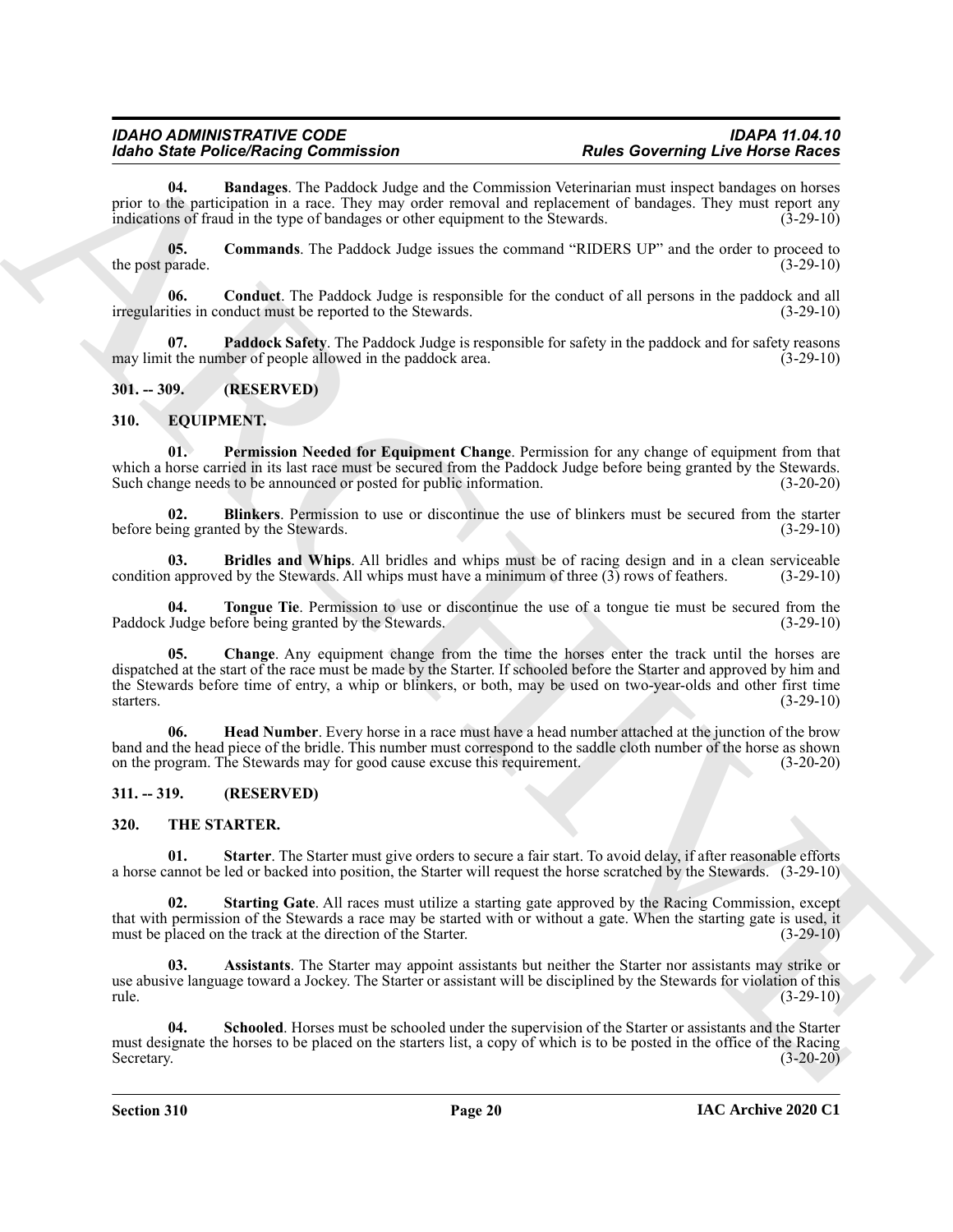<span id="page-19-11"></span>**04. Bandages**. The Paddock Judge and the Commission Veterinarian must inspect bandages on horses prior to the participation in a race. They may order removal and replacement of bandages. They must report any indications of fraud in the type of bandages or other equipment to the Stewards. (3-29-10)

<span id="page-19-12"></span>**05. Commands**. The Paddock Judge issues the command "RIDERS UP" and the order to proceed to the post parade.  $(3-29-10)$ 

<span id="page-19-13"></span>**06. Conduct**. The Paddock Judge is responsible for the conduct of all persons in the paddock and all irregularities in conduct must be reported to the Stewards. (3-29-10)

<span id="page-19-14"></span>**07. Paddock Safety**. The Paddock Judge is responsible for safety in the paddock and for safety reasons may limit the number of people allowed in the paddock area. (3-29-10)

#### <span id="page-19-0"></span>**301. -- 309. (RESERVED)**

#### <span id="page-19-4"></span><span id="page-19-1"></span>**310. EQUIPMENT.**

<span id="page-19-9"></span>**01. Permission Needed for Equipment Change**. Permission for any change of equipment from that which a horse carried in its last race must be secured from the Paddock Judge before being granted by the Stewards. Such change needs to be announced or posted for public information. (3-20-20)

<span id="page-19-5"></span>**02. Blinkers**. Permission to use or discontinue the use of blinkers must be secured from the starter eing granted by the Stewards. (3-29-10) before being granted by the Stewards.

<span id="page-19-6"></span>**03. Bridles and Whips**. All bridles and whips must be of racing design and in a clean serviceable a approved by the Stewards. All whips must have a minimum of three (3) rows of feathers. (3-29-10) condition approved by the Stewards. All whips must have a minimum of three  $(3)$  rows of feathers.

<span id="page-19-10"></span><span id="page-19-7"></span>**04. Tongue Tie**. Permission to use or discontinue the use of a tongue tie must be secured from the Judge before being granted by the Stewards. (3-29-10) Paddock Judge before being granted by the Stewards.

Models State Protection Controllation (All since the Commonweal De-Commonweal De-Commonweal De-Commonweal De-Commonweal De-Commonweal De-Commonweal De-Commonweal De-Commonweal De-Commonweal De-Commonweal De-Commonweal De-**05. Change**. Any equipment change from the time the horses enter the track until the horses are dispatched at the start of the race must be made by the Starter. If schooled before the Starter and approved by him and the Stewards before time of entry, a whip or blinkers, or both, may be used on two-year-olds and other first time starters. (3-29-10)

<span id="page-19-8"></span>**06. Head Number**. Every horse in a race must have a head number attached at the junction of the brow band and the head piece of the bridle. This number must correspond to the saddle cloth number of the horse as shown on the program. The Stewards may for good cause excuse this requirement. (3-20-20)

#### <span id="page-19-2"></span>**311. -- 319. (RESERVED)**

#### <span id="page-19-15"></span><span id="page-19-3"></span>**320. THE STARTER.**

<span id="page-19-18"></span>**01. Starter**. The Starter must give orders to secure a fair start. To avoid delay, if after reasonable efforts a horse cannot be led or backed into position, the Starter will request the horse scratched by the Stewards. (3-29-10)

<span id="page-19-19"></span>**Starting Gate**. All races must utilize a starting gate approved by the Racing Commission, except that with permission of the Stewards a race may be started with or without a gate. When the starting gate is used, it must be placed on the track at the direction of the Starter. (3-29-10) must be placed on the track at the direction of the Starter.

<span id="page-19-16"></span>**03. Assistants**. The Starter may appoint assistants but neither the Starter nor assistants may strike or use abusive language toward a Jockey. The Starter or assistant will be disciplined by the Stewards for violation of this rule. (3-29-10)

<span id="page-19-17"></span>**04. Schooled**. Horses must be schooled under the supervision of the Starter or assistants and the Starter must designate the horses to be placed on the starters list, a copy of which is to be posted in the office of the Racing Secretary. (3-20-20)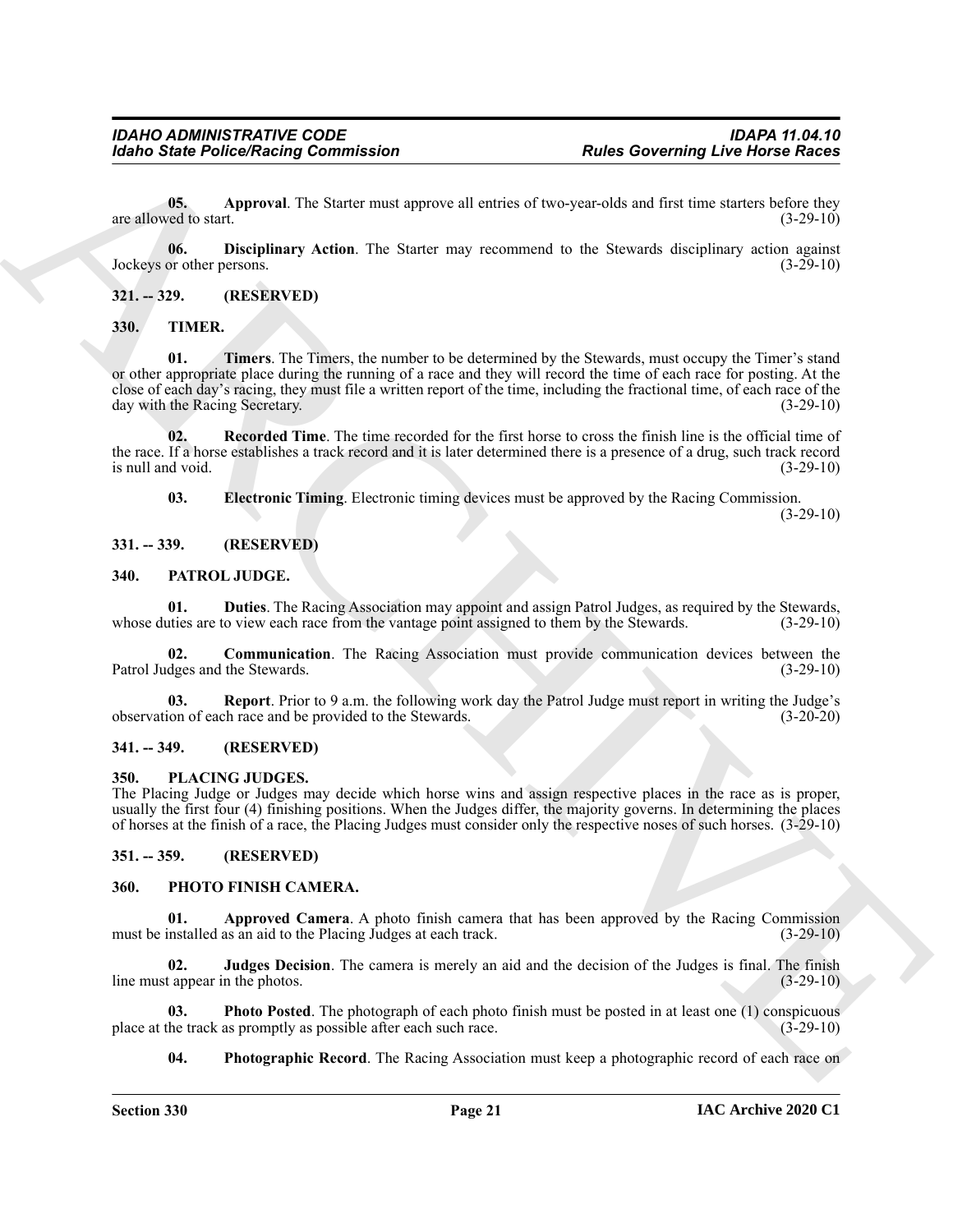<span id="page-20-18"></span>**05. Approval**. The Starter must approve all entries of two-year-olds and first time starters before they are allowed to start.  $(3-29-10)$ 

<span id="page-20-19"></span>**06. Disciplinary Action**. The Starter may recommend to the Stewards disciplinary action against Jockeys or other persons. (3-29-10)

#### <span id="page-20-0"></span>**321. -- 329. (RESERVED)**

<span id="page-20-23"></span><span id="page-20-20"></span><span id="page-20-1"></span>**330. TIMER.**

For the Police Neuron Commutation<br>
Based Contract Police Neuron Library Research 2014<br>
2013 - Applement The Start must approve all entails of one year olds and link is no start be (view Resp.<br>
221. - 122. (RESENTED)<br>
231. **01. Timers**. The Timers, the number to be determined by the Stewards, must occupy the Timer's stand or other appropriate place during the running of a race and they will record the time of each race for posting. At the close of each day's racing, they must file a written report of the time, including the fractional time, of each race of the day with the Racing Secretary. (3-29-10)

**02. Recorded Time**. The time recorded for the first horse to cross the finish line is the official time of the race. If a horse establishes a track record and it is later determined there is a presence of a drug, such track record  $\frac{1}{3-29-10}$  is null and void.  $(3-29-10)$ 

<span id="page-20-22"></span><span id="page-20-21"></span><span id="page-20-10"></span>**03. Electronic Timing**. Electronic timing devices must be approved by the Racing Commission.

 $(3-29-10)$ 

#### <span id="page-20-2"></span>**331. -- 339. (RESERVED)**

#### <span id="page-20-8"></span><span id="page-20-3"></span>**340. PATROL JUDGE.**

**01. Duties**. The Racing Association may appoint and assign Patrol Judges, as required by the Stewards, ties are to view each race from the vantage point assigned to them by the Stewards. (3-29-10) whose duties are to view each race from the vantage point assigned to them by the Stewards.

<span id="page-20-9"></span>**02. Communication**. The Racing Association must provide communication devices between the Patrol Judges and the Stewards. (3-29-10)

<span id="page-20-11"></span>**03. Report**. Prior to 9 a.m. the following work day the Patrol Judge must report in writing the Judge's ion of each race and be provided to the Stewards. (3-20-20) observation of each race and be provided to the Stewards.

#### <span id="page-20-4"></span>**341. -- 349. (RESERVED)**

#### <span id="page-20-17"></span><span id="page-20-5"></span>**350. PLACING JUDGES.**

The Placing Judge or Judges may decide which horse wins and assign respective places in the race as is proper, usually the first four (4) finishing positions. When the Judges differ, the majority governs. In determining the places of horses at the finish of a race, the Placing Judges must consider only the respective noses of such horses. (3-29-10)

#### <span id="page-20-6"></span>**351. -- 359. (RESERVED)**

#### <span id="page-20-12"></span><span id="page-20-7"></span>**360. PHOTO FINISH CAMERA.**

<span id="page-20-13"></span>**01. Approved Camera**. A photo finish camera that has been approved by the Racing Commission installed as an aid to the Placing Judges at each track. (3-29-10) must be installed as an aid to the Placing Judges at each track.

<span id="page-20-14"></span>**02. Judges Decision**. The camera is merely an aid and the decision of the Judges is final. The finish line must appear in the photos. (3-29-10)

**03. Photo Posted**. The photograph of each photo finish must be posted in at least one (1) conspicuous the track as promptly as possible after each such race. (3-29-10) place at the track as promptly as possible after each such race.

<span id="page-20-16"></span><span id="page-20-15"></span>**04. Photographic Record**. The Racing Association must keep a photographic record of each race on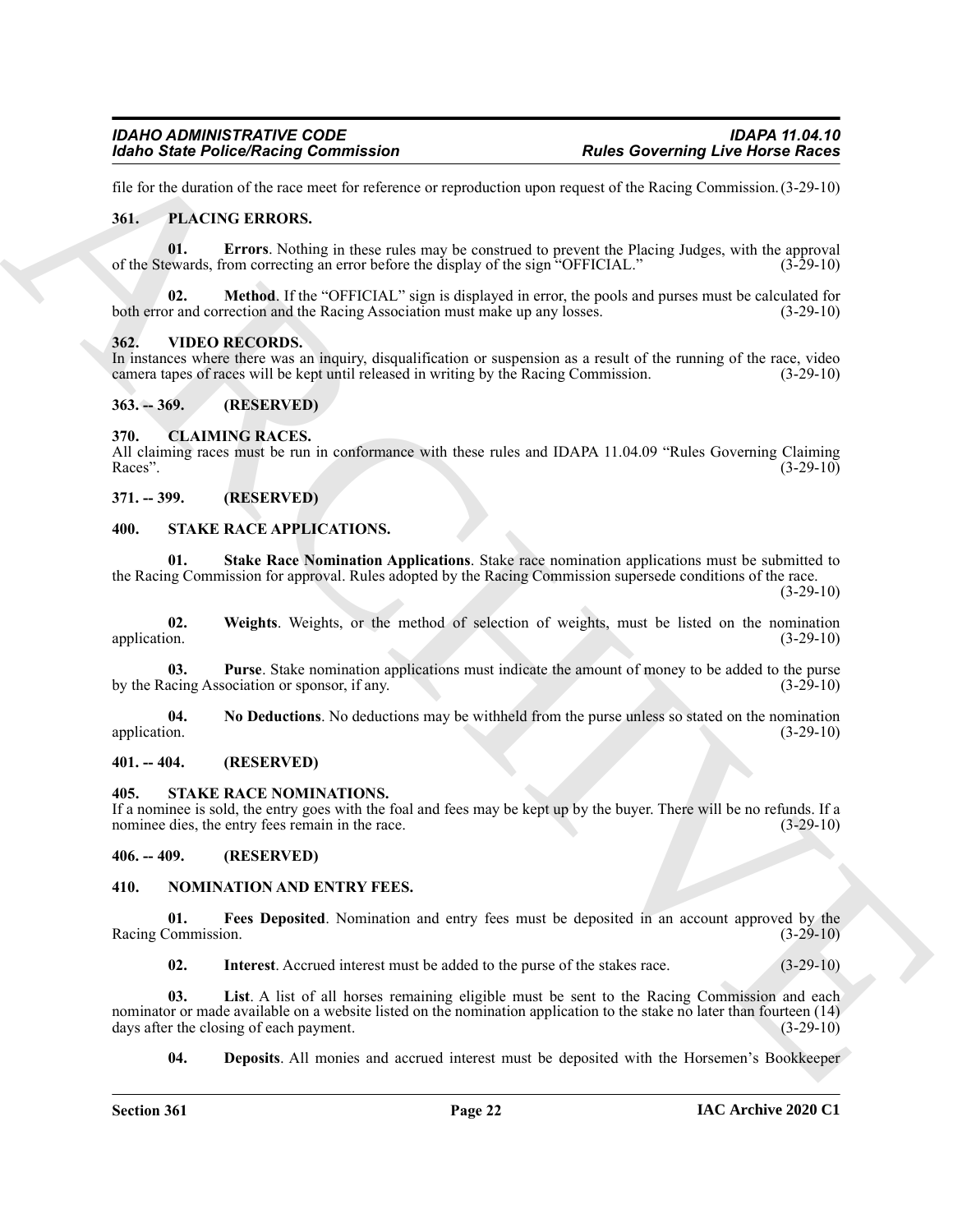file for the duration of the race meet for reference or reproduction upon request of the Racing Commission.(3-29-10)

#### <span id="page-21-17"></span><span id="page-21-16"></span><span id="page-21-0"></span>**361. PLACING ERRORS.**

**01. Errors**. Nothing in these rules may be construed to prevent the Placing Judges, with the approval of the Stewards, from correcting an error before the display of the sign "OFFICIAL." (3-29-10)

<span id="page-21-18"></span>**02. Method**. If the "OFFICIAL" sign is displayed in error, the pools and purses must be calculated for both error and correction and the Racing Association must make up any losses. (3-29-10)

#### <span id="page-21-25"></span><span id="page-21-1"></span>**362. VIDEO RECORDS.**

In instances where there was an inquiry, disqualification or suspension as a result of the running of the race, video camera tapes of races will be kept until released in writing by the Racing Commission. (3-29-10) camera tapes of races will be kept until released in writing by the Racing Commission.

<span id="page-21-2"></span>**363. -- 369. (RESERVED)**

#### <span id="page-21-10"></span><span id="page-21-3"></span>**370. CLAIMING RACES.**

All claiming races must be run in conformance with these rules and IDAPA 11.04.09 "Rules Governing Claiming Races".  $(3-29-10)$ 

<span id="page-21-4"></span>**371. -- 399. (RESERVED)**

#### <span id="page-21-22"></span><span id="page-21-19"></span><span id="page-21-5"></span>**400. STAKE RACE APPLICATIONS.**

**01. Stake Race Nomination Applications**. Stake race nomination applications must be submitted to the Racing Commission for approval. Rules adopted by the Racing Commission supersede conditions of the race.

 $(3-29-10)$ 

<span id="page-21-23"></span>**02. Weights**. Weights, or the method of selection of weights, must be listed on the nomination application. (3-29-10)

<span id="page-21-21"></span>**03. Purse**. Stake nomination applications must indicate the amount of money to be added to the purse by the Racing Association or sponsor, if any. (3-29-10) (3-29-10)

<span id="page-21-20"></span>**04. No Deductions**. No deductions may be withheld from the purse unless so stated on the nomination application. (3-29-10)

#### <span id="page-21-6"></span>**401. -- 404. (RESERVED)**

#### <span id="page-21-24"></span><span id="page-21-7"></span>**405. STAKE RACE NOMINATIONS.**

If a nominee is sold, the entry goes with the foal and fees may be kept up by the buyer. There will be no refunds. If a nominee dies, the entry fees remain in the race. (3-29-10)

#### <span id="page-21-8"></span>**406. -- 409. (RESERVED)**

#### <span id="page-21-11"></span><span id="page-21-9"></span>**410. NOMINATION AND ENTRY FEES.**

**01.** Fees Deposited. Nomination and entry fees must be deposited in an account approved by the Commission. (3-29-10) Racing Commission.

<span id="page-21-15"></span><span id="page-21-14"></span><span id="page-21-13"></span>**02. Interest**. Accrued interest must be added to the purse of the stakes race. (3-29-10)

For the Velocity of Columbia Continues and the state of the Columbia Continues (Exception 2008)<br>
Marchives and the state of the Columbia Continues of the Columbia Continues (Continues (Columbia Columbia Columbia Columbia **03. List**. A list of all horses remaining eligible must be sent to the Racing Commission and each nominator or made available on a website listed on the nomination application to the stake no later than fourteen (14) days after the closing of each payment. (3-29-10) days after the closing of each payment.

<span id="page-21-12"></span>**04. Deposits**. All monies and accrued interest must be deposited with the Horsemen's Bookkeeper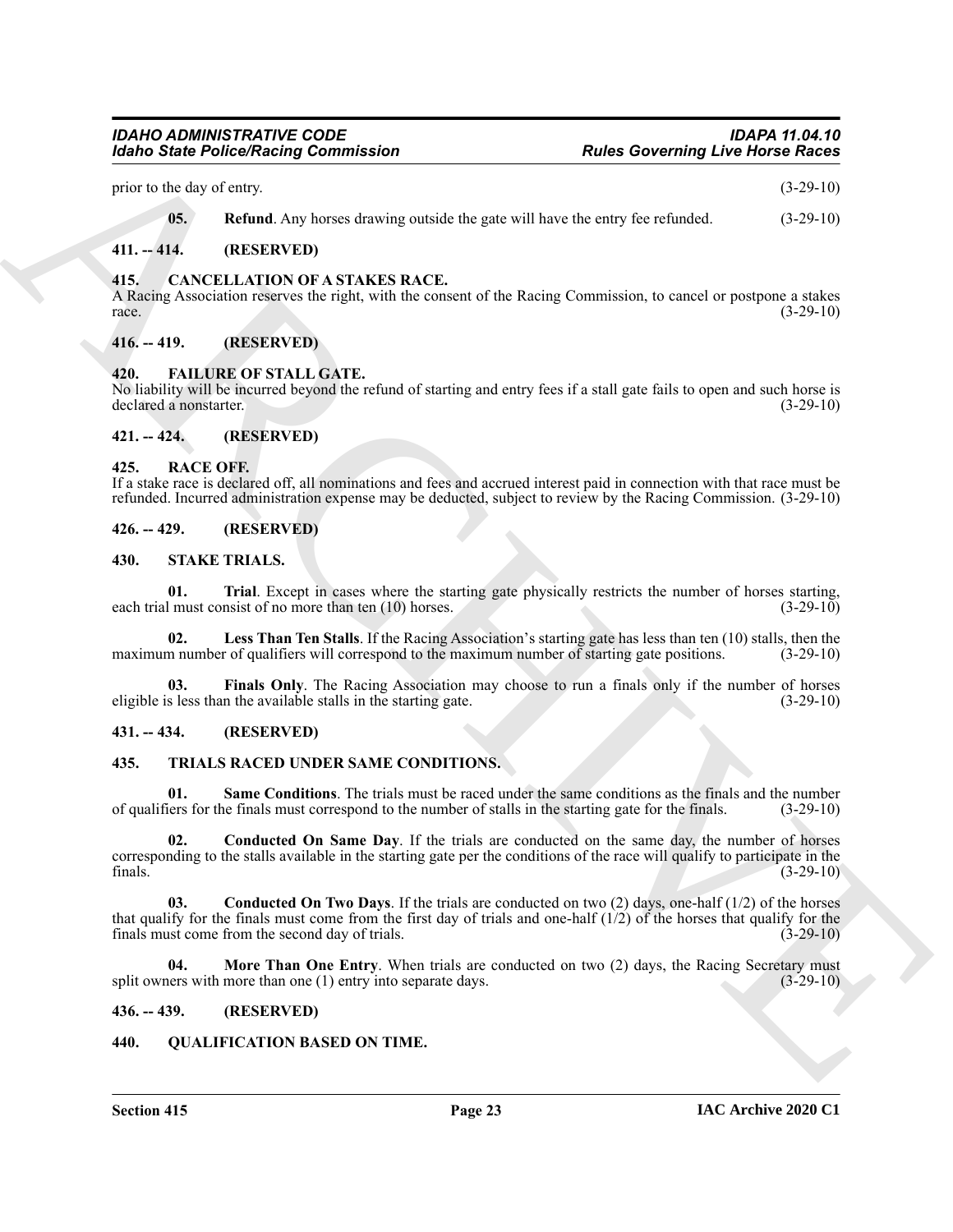prior to the day of entry. (3-29-10)

<span id="page-22-14"></span><span id="page-22-12"></span>**05. Refund**. Any horses drawing outside the gate will have the entry fee refunded.  $(3-29-10)$ 

#### <span id="page-22-0"></span>**411. -- 414. (RESERVED)**

#### <span id="page-22-1"></span>**415. CANCELLATION OF A STAKES RACE.**

A Racing Association reserves the right, with the consent of the Racing Commission, to cancel or postpone a stakes  $r = (3-29-10)$ 

#### <span id="page-22-2"></span>**416. -- 419. (RESERVED)**

#### <span id="page-22-13"></span><span id="page-22-3"></span>**420. FAILURE OF STALL GATE.**

No liability will be incurred beyond the refund of starting and entry fees if a stall gate fails to open and such horse is declared a nonstarter. (3-29-10)

## <span id="page-22-4"></span>**421. -- 424. (RESERVED)**

#### <span id="page-22-16"></span><span id="page-22-5"></span>**425. RACE OFF.**

If a stake race is declared off, all nominations and fees and accrued interest paid in connection with that race must be refunded. Incurred administration expense may be deducted, subject to review by the Racing Commission. (3-29-10)

#### <span id="page-22-6"></span>**426. -- 429. (RESERVED)**

#### <span id="page-22-20"></span><span id="page-22-17"></span><span id="page-22-7"></span>**430. STAKE TRIALS.**

**01.** Trial. Except in cases where the starting gate physically restricts the number of horses starting, I must consist of no more than ten (10) horses. (3-29-10) each trial must consist of no more than ten  $(10)$  horses.

<span id="page-22-19"></span>**02.** Less Than Ten Stalls. If the Racing Association's starting gate has less than ten (10) stalls, then the maximum number of qualifiers will correspond to the maximum number of starting gate positions. (3-29-10)

<span id="page-22-18"></span>**03. Finals Only**. The Racing Association may choose to run a finals only if the number of horses eligible is less than the available stalls in the starting gate. (3-29-10)

#### <span id="page-22-8"></span>**431. -- 434. (RESERVED)**

#### <span id="page-22-21"></span><span id="page-22-9"></span>**435. TRIALS RACED UNDER SAME CONDITIONS.**

<span id="page-22-25"></span><span id="page-22-22"></span>**01. Same Conditions**. The trials must be raced under the same conditions as the finals and the number of qualifiers for the finals must correspond to the number of stalls in the starting gate for the finals. (3-29-10)

For the Poisso Research Commutation<br>
The state of the state of the state of the state of the state of the state of the state of the state of the state<br>
(3.5 and 2.4 and 2.4 and 2.4 and 2.4 and 2.4 and 2.4 and 2.4 and 2.4 **02. Conducted On Same Day**. If the trials are conducted on the same day, the number of horses corresponding to the stalls available in the starting gate per the conditions of the race will qualify to participate in the finals. (3-29-10)

<span id="page-22-23"></span>**03. Conducted On Two Days**. If the trials are conducted on two (2) days, one-half (1/2) of the horses that qualify for the finals must come from the first day of trials and one-half  $(1/2)$  of the horses that qualify for the finals must come from the second day of trials.  $(3-29-10)$ finals must come from the second day of trials.

<span id="page-22-24"></span>**04.** More Than One Entry. When trials are conducted on two (2) days, the Racing Secretary must split owners with more than one (1) entry into separate days. (3-29-10)

#### <span id="page-22-10"></span>**436. -- 439. (RESERVED)**

#### <span id="page-22-15"></span><span id="page-22-11"></span>**440. QUALIFICATION BASED ON TIME.**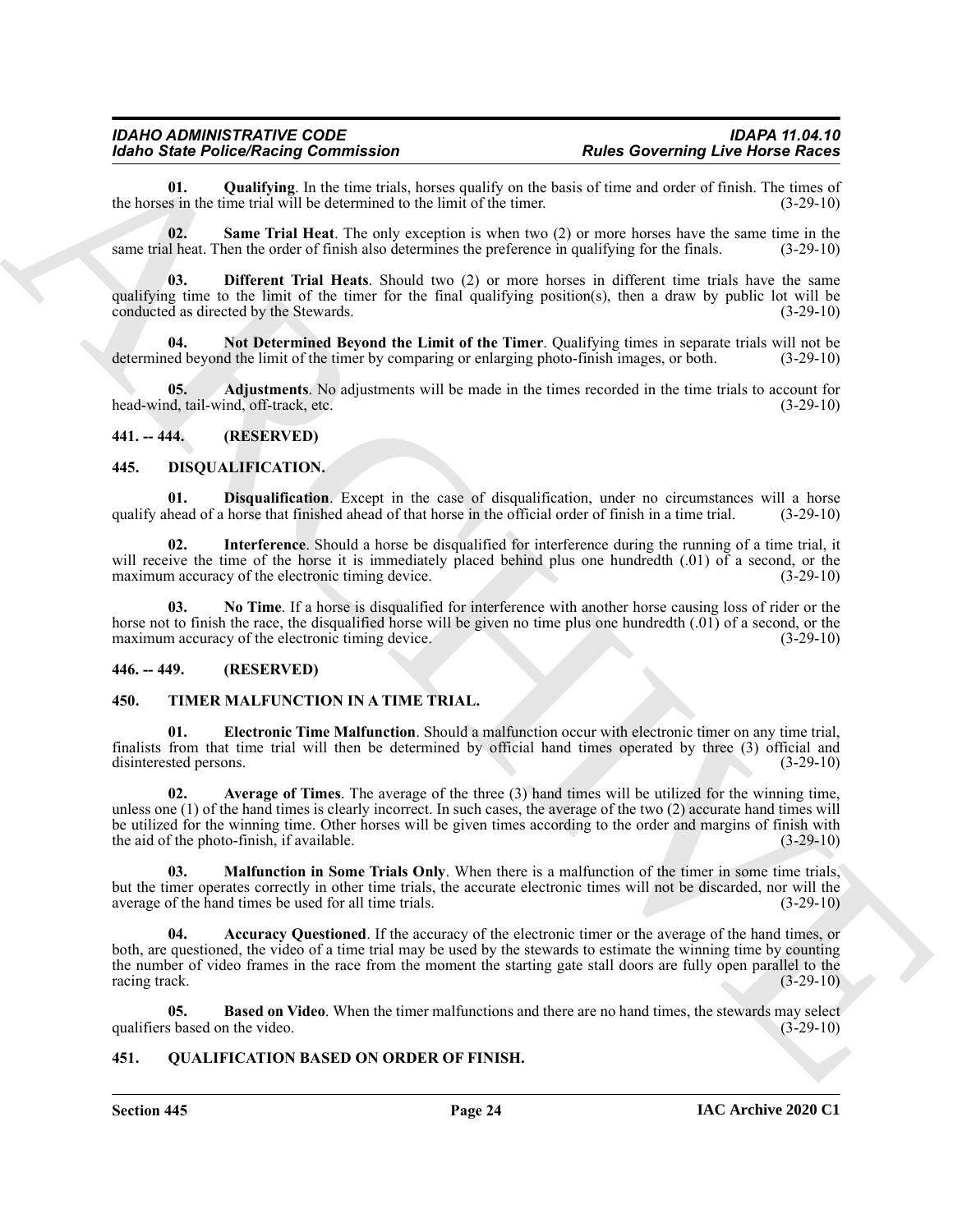<span id="page-23-13"></span>**01.** Qualifying. In the time trials, horses qualify on the basis of time and order of finish. The times of s in the time trial will be determined to the limit of the timer. (3-29-10) the horses in the time trial will be determined to the limit of the timer.

<span id="page-23-14"></span>**02. Same Trial Heat**. The only exception is when two (2) or more horses have the same time in the same trial heat. Then the order of finish also determines the preference in qualifying for the finals. (3-29-10)

<span id="page-23-11"></span>**03. Different Trial Heats**. Should two (2) or more horses in different time trials have the same qualifying time to the limit of the timer for the final qualifying position(s), then a draw by public lot will be conducted as directed by the Stewards. (3-29-10)

<span id="page-23-12"></span>**04. Not Determined Beyond the Limit of the Timer**. Qualifying times in separate trials will not be determined beyond the limit of the timer by comparing or enlarging photo-finish images, or both. (3-29-10)

<span id="page-23-10"></span>**05. Adjustments**. No adjustments will be made in the times recorded in the time trials to account for head-wind, tail-wind, off-track, etc. (3-29-10)

#### <span id="page-23-0"></span>**441. -- 444. (RESERVED)**

#### <span id="page-23-6"></span><span id="page-23-5"></span><span id="page-23-1"></span>**445. DISQUALIFICATION.**

**01. Disqualification**. Except in the case of disqualification, under no circumstances will a horse head of a horse in the official order of finish in a time trial. (3-29-10) qualify ahead of a horse that finished ahead of that horse in the official order of finish in a time trial.

<span id="page-23-7"></span>**02. Interference**. Should a horse be disqualified for interference during the running of a time trial, it will receive the time of the horse it is immediately placed behind plus one hundredth (.01) of a second, or the maximum accuracy of the electronic timing device. (3-29-10) (3-29-10)

<span id="page-23-8"></span>**03. No Time**. If a horse is disqualified for interference with another horse causing loss of rider or the horse not to finish the race, the disqualified horse will be given no time plus one hundredth (.01) of a second, or the maximum accuracy of the electronic timing device. (3-29-10)

#### <span id="page-23-2"></span>**446. -- 449. (RESERVED)**

#### <span id="page-23-15"></span><span id="page-23-3"></span>**450. TIMER MALFUNCTION IN A TIME TRIAL.**

<span id="page-23-19"></span>**01. Electronic Time Malfunction**. Should a malfunction occur with electronic timer on any time trial, finalists from that time trial will then be determined by official hand times operated by three (3) official and disinterested persons. (3-29-10)

<span id="page-23-17"></span>**02. Average of Times**. The average of the three (3) hand times will be utilized for the winning time, unless one (1) of the hand times is clearly incorrect. In such cases, the average of the two (2) accurate hand times will be utilized for the winning time. Other horses will be given times according to the order and margins of finish with the aid of the photo-finish, if available. (3-29-10)

<span id="page-23-20"></span><span id="page-23-16"></span>**03. Malfunction in Some Trials Only**. When there is a malfunction of the timer in some time trials, but the timer operates correctly in other time trials, the accurate electronic times will not be discarded, nor will the average of the hand times be used for all time trials. (3-29-10)

**Example Below Below Below Below Below Below Below Below Below Below Below Below Below Below Below Below Below Below Below Below Below Below Below Below Below Below Below Below Below Below Below Below Below Below Below Be 04. Accuracy Questioned**. If the accuracy of the electronic timer or the average of the hand times, or both, are questioned, the video of a time trial may be used by the stewards to estimate the winning time by counting the number of video frames in the race from the moment the starting gate stall doors are fully open parallel to the racing track. (3-29-10)

<span id="page-23-18"></span>**05. Based on Video**. When the timer malfunctions and there are no hand times, the stewards may select s based on the video. (3-29-10) qualifiers based on the video.

#### <span id="page-23-9"></span><span id="page-23-4"></span>**451. QUALIFICATION BASED ON ORDER OF FINISH.**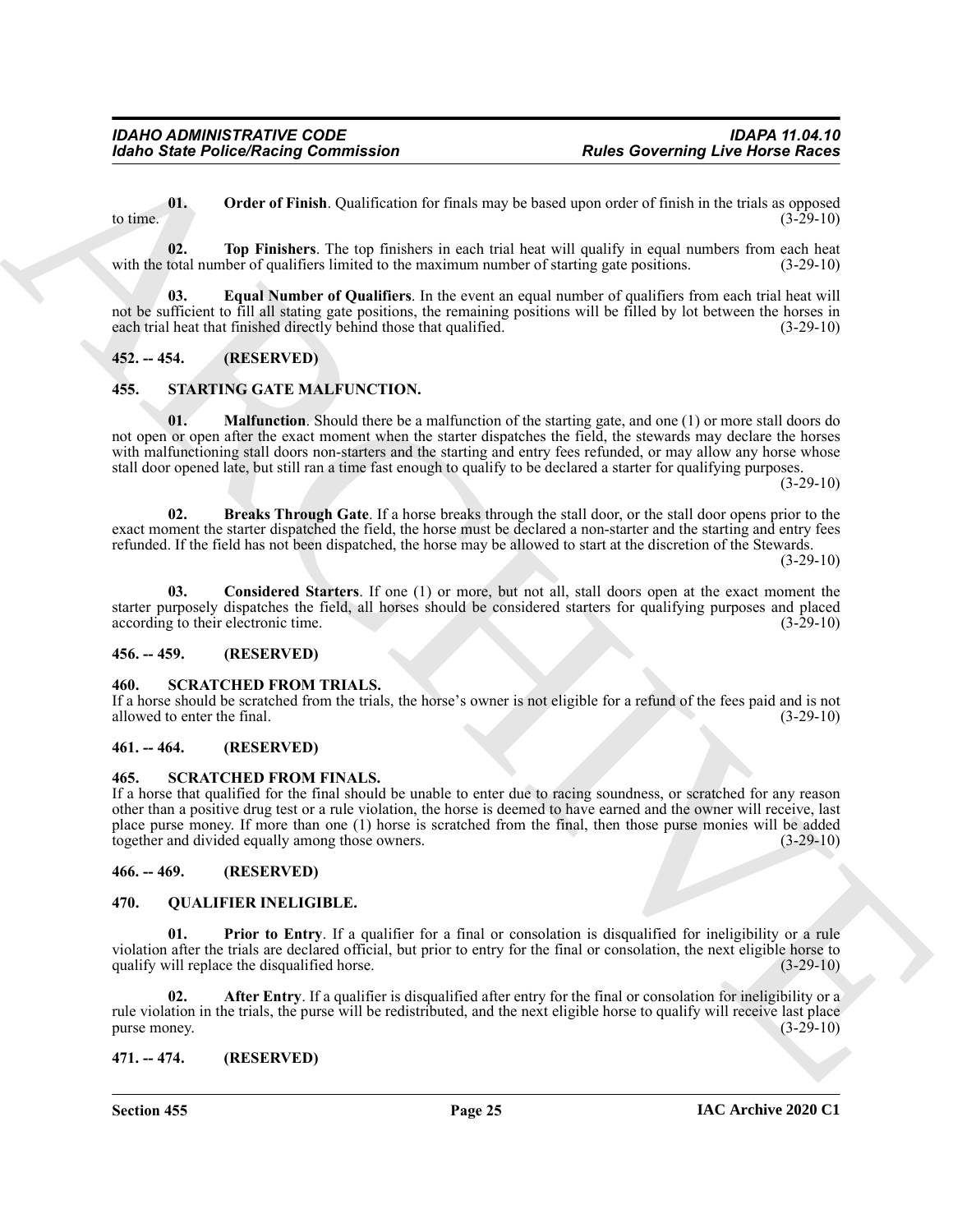<span id="page-24-10"></span>**01. Order of Finish**. Qualification for finals may be based upon order of finish in the trials as opposed to time.  $(3-29-10)$ 

<span id="page-24-11"></span>**02. Top Finishers**. The top finishers in each trial heat will qualify in equal numbers from each heat with the total number of qualifiers limited to the maximum number of starting gate positions. (3-29-10)

<span id="page-24-9"></span>**03. Equal Number of Qualifiers**. In the event an equal number of qualifiers from each trial heat will not be sufficient to fill all stating gate positions, the remaining positions will be filled by lot between the horses in each trial heat that finished directly behind those that qualified. (3-29-10)

## <span id="page-24-0"></span>**452. -- 454. (RESERVED)**

## <span id="page-24-20"></span><span id="page-24-17"></span><span id="page-24-1"></span>**455. STARTING GATE MALFUNCTION.**

Form Similar Police Neutrinia Conditions that the main we be the state of finite in the state of the state of the state of the state of the state of the state of the state of the state of the state of the state of the sta **01. Malfunction**. Should there be a malfunction of the starting gate, and one (1) or more stall doors do not open or open after the exact moment when the starter dispatches the field, the stewards may declare the horses with malfunctioning stall doors non-starters and the starting and entry fees refunded, or may allow any horse whose stall door opened late, but still ran a time fast enough to qualify to be declared a starter for qualifying purposes.

 $(3-29-10)$ 

<span id="page-24-18"></span>**02. Breaks Through Gate**. If a horse breaks through the stall door, or the stall door opens prior to the exact moment the starter dispatched the field, the horse must be declared a non-starter and the starting and entry fees refunded. If the field has not been dispatched, the horse may be allowed to start at the discretion of the Stewards.

 $(3-29-10)$ 

<span id="page-24-19"></span>**03. Considered Starters**. If one (1) or more, but not all, stall doors open at the exact moment the starter purposely dispatches the field, all horses should be considered starters for qualifying purposes and placed according to their electronic time. (3-29-10) according to their electronic time.

#### <span id="page-24-2"></span>**456. -- 459. (RESERVED)**

#### <span id="page-24-16"></span><span id="page-24-3"></span>**460. SCRATCHED FROM TRIALS.**

If a horse should be scratched from the trials, the horse's owner is not eligible for a refund of the fees paid and is not allowed to enter the final. (3-29-10) allowed to enter the final.

#### <span id="page-24-4"></span>**461. -- 464. (RESERVED)**

#### <span id="page-24-15"></span><span id="page-24-5"></span>**465. SCRATCHED FROM FINALS.**

If a horse that qualified for the final should be unable to enter due to racing soundness, or scratched for any reason other than a positive drug test or a rule violation, the horse is deemed to have earned and the owner will receive, last place purse money. If more than one (1) horse is scratched from the final, then those purse monies will be added together and divided equally among those owners. (3-29-10)

<span id="page-24-6"></span>**466. -- 469. (RESERVED)**

#### <span id="page-24-12"></span><span id="page-24-7"></span>**470. QUALIFIER INELIGIBLE.**

<span id="page-24-14"></span>**01. Prior to Entry**. If a qualifier for a final or consolation is disqualified for ineligibility or a rule violation after the trials are declared official, but prior to entry for the final or consolation, the next eligible horse to qualify will replace the disqualified horse. (3-29-10)

<span id="page-24-13"></span>**02. After Entry**. If a qualifier is disqualified after entry for the final or consolation for ineligibility or a rule violation in the trials, the purse will be redistributed, and the next eligible horse to qualify will receive last place<br>(3-29-10) purse money.

#### <span id="page-24-8"></span>**471. -- 474. (RESERVED)**

**Section 455 Page 25**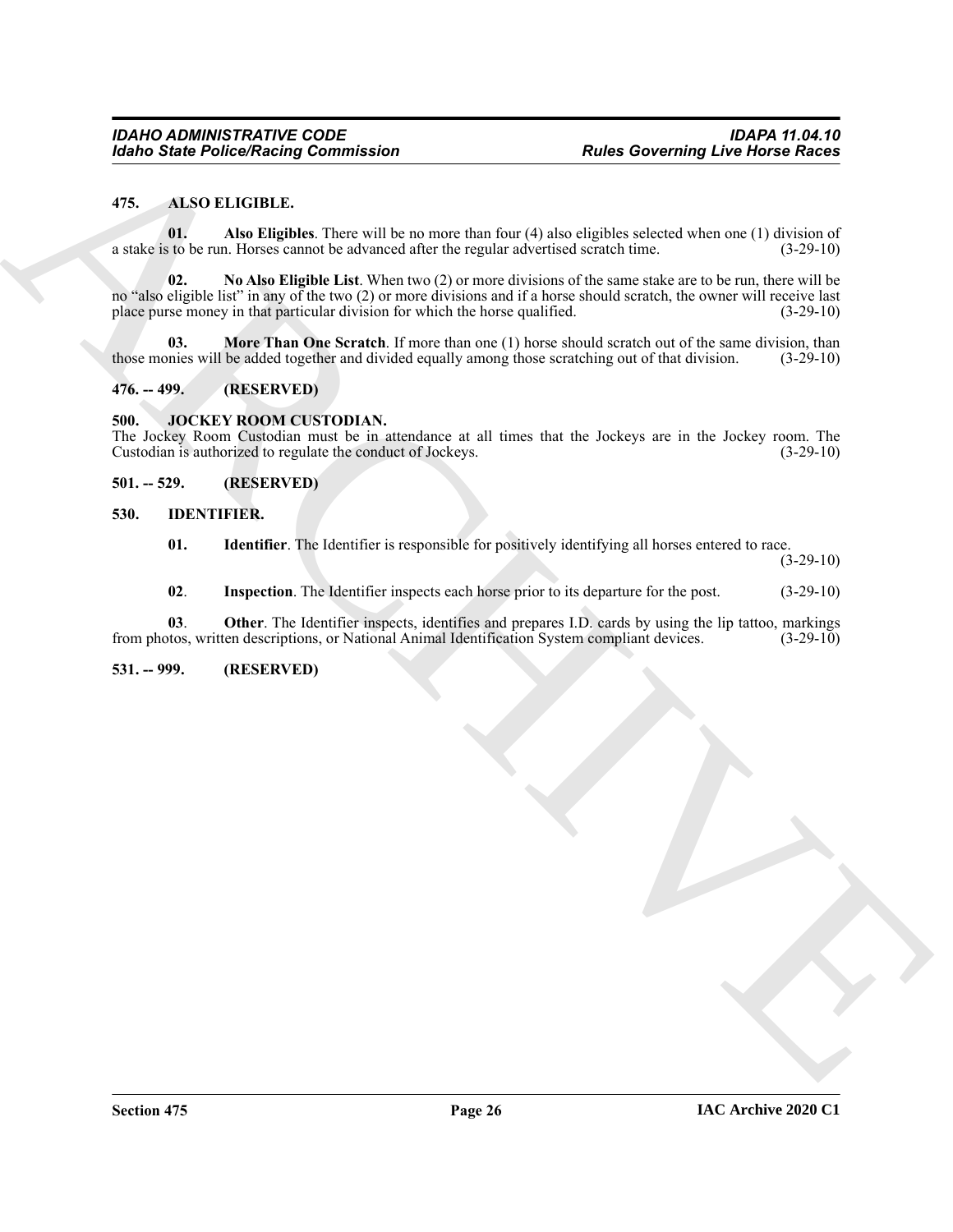#### <span id="page-25-6"></span><span id="page-25-0"></span>**475. ALSO ELIGIBLE.**

<span id="page-25-9"></span><span id="page-25-7"></span>**01. Also Eligibles**. There will be no more than four (4) also eligibles selected when one (1) division of a stake is to be run. Horses cannot be advanced after the regular advertised scratch time. (3-29-10)

Form Forecasters of the Elisabeth Characteristics and the state of the state of the state of the state of the state of the state of the state of the state of the state of the state of the state of the state of the state o **02. No Also Eligible List**. When two (2) or more divisions of the same stake are to be run, there will be no "also eligible list" in any of the two (2) or more divisions and if a horse should scratch, the owner will receive last place purse money in that particular division for which the horse qualified. (3-29-10)

<span id="page-25-8"></span>**03. More Than One Scratch**. If more than one (1) horse should scratch out of the same division, than those monies will be added together and divided equally among those scratching out of that division. (3-29-10)

<span id="page-25-1"></span>**476. -- 499. (RESERVED)**

#### <span id="page-25-14"></span><span id="page-25-2"></span>**500. JOCKEY ROOM CUSTODIAN.**

The Jockey Room Custodian must be in attendance at all times that the Jockeys are in the Jockey room. The Custodian is authorized to regulate the conduct of Jockeys. (3-29-10)

#### <span id="page-25-3"></span>**501. -- 529. (RESERVED)**

<span id="page-25-4"></span>**530. IDENTIFIER.**

<span id="page-25-11"></span><span id="page-25-10"></span>**01. Identifier**. The Identifier is responsible for positively identifying all horses entered to race.

(3-29-10)

<span id="page-25-13"></span><span id="page-25-12"></span>**02**. **Inspection**. The Identifier inspects each horse prior to its departure for the post. (3-29-10)

**03**. **Other**. The Identifier inspects, identifies and prepares I.D. cards by using the lip tattoo, markings from photos, written descriptions, or National Animal Identification System compliant devices. (3-29-10)

<span id="page-25-5"></span>**531. -- 999. (RESERVED)**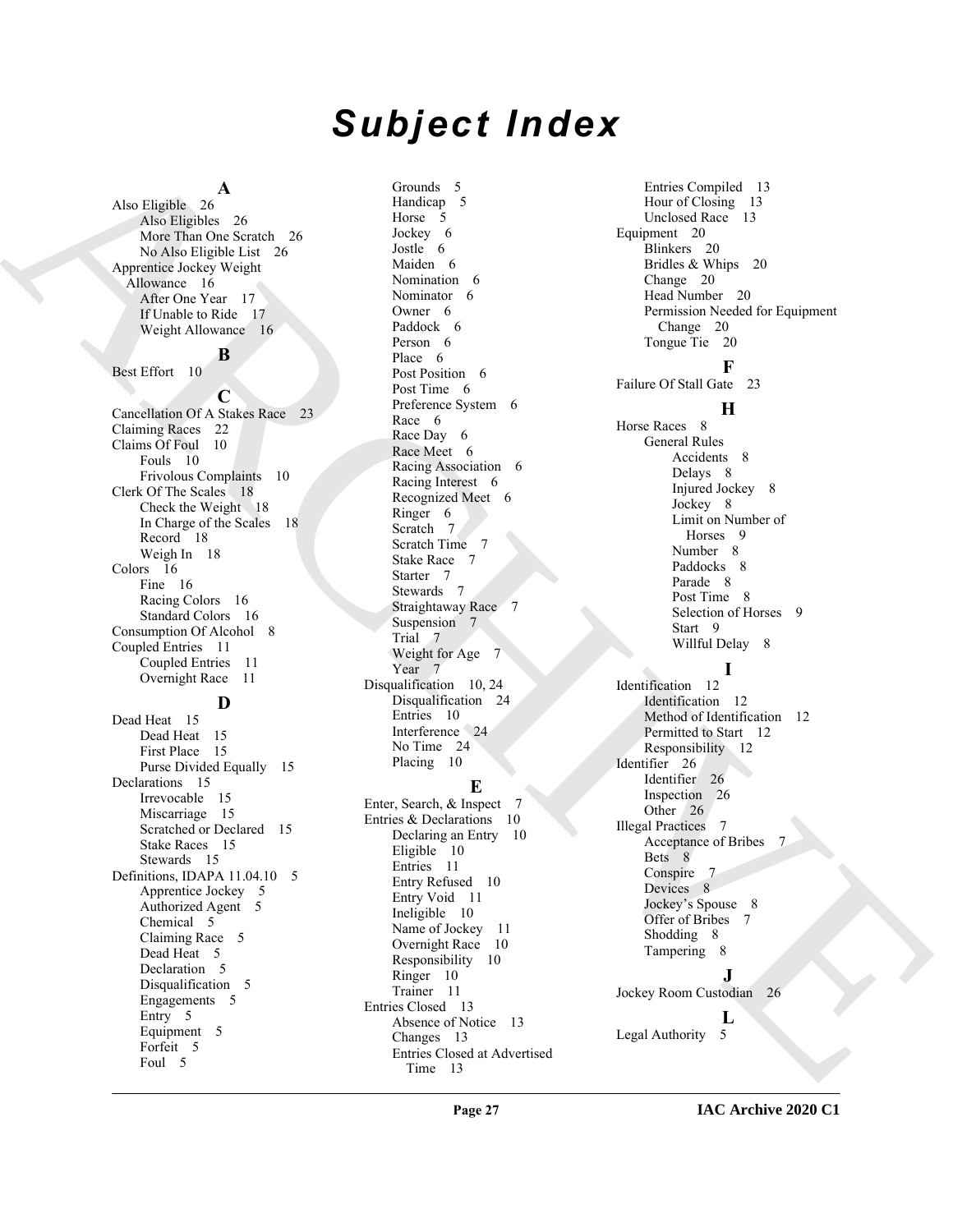# *Subject Index*

## **A**

Also Eligible 26 Also Eligibles 26 More Than One Scratch 26 No Also Eligible List 26 Apprentice Jockey Weight Allowance 16 After One Year 17 If Unable to Ride 17 Weight Allowance 16

#### **B**

Best Effort 10

**C** Cancellation Of A Stakes Race 23 Claiming Races 22 Claims Of Foul 10 Fouls 10 Frivolous Complaints 10 Clerk Of The Scales 18 Check the Weight 18 In Charge of the Scales 18 Record 18 Weigh In 18 Colors 16 Fine 16 Racing Colors 16 Standard Colors 16 Consumption Of Alcohol 8 Coupled Entries 11 Coupled Entries 11 Overnight Race 11

#### **D**

Dead Heat 15 Dead Heat 15 First Place 15 Purse Divided Equally 15 Declarations 15 Irrevocable 15 Miscarriage 15 Scratched or Declared 15 Stake Races 15 Stewards 15 Definitions, IDAPA 11.04.10 5 Apprentice Jockey 5 Authorized Agent 5 Chemical 5 Claiming Race 5 Dead Heat 5 Declaration 5 Disqualification 5 Engagements 5 Entry 5 Equipment 5 Forfeit 5 Foul 5

Grounds 5 Handicap 5 Horse 5 Jockey 6 Jostle 6 Maiden 6 Nomination 6 Nominator 6 Owner 6 Paddock 6 Person 6 Place 6 Post Position 6 Post Time 6 Preference System 6 Race 6 Race Day 6 Race Meet 6 Racing Association 6 Racing Interest 6 Recognized Meet 6 Ringer 6 Scratch 7 Scratch Time 7 Stake Race 7 Starter 7 Stewards 7 Straightaway Race 7 Suspension 7 Trial 7 Weight for Age 7 Year<sub>7</sub> Disqualification 10, 24 Disqualification 24 Entries 10 Interference 24 No Time 24 Placing 10

# **E**

Enter, Search, & Inspect 7 Entries & Declarations 10 Declaring an Entry 10 Eligible 10 Entries 11 Entry Refused 10 Entry Void 11 Ineligible 10 Name of Jockey 11 Overnight Race 10 Responsibility 10 Ringer 10 Trainer 11 Entries Closed 13 Absence of Notice 13 Changes 13 Entries Closed at Advertised Time 13

[A](#page-15-7)nd the spints of the control of the spints of the spints of the spints of the spints of the spints of the spints of the spints of the spints of the spints of the spints of the spints of the spints of the spints of the sp Entries Compiled 13 Hour of Closing 13 Unclosed Race 13 Equipment 20 Blinkers 20 Bridles & Whips 20 Change 20 Head Number 20 Permission Needed for Equipment Change 20 Tongue Tie 20 **F** Failure Of Stall Gate 23 **H** Horse Races 8 General Rules Accidents 8 Delays 8 Injured Jockey 8 Jockey 8 Limit on Number of Horses 9 Number 8 Paddocks 8 Parade 8 Post Time 8 Selection of Horses 9 Start 9 Willful Delay 8 **I** Identification 12 Identification 12 Method of Identification 12 Permitted to Start 12 Responsibility 12 Identifier 26 Identifier 26 Inspection 26 Other 26 Illegal Practices 7 Acceptance of Bribes 7 Bets 8 Conspire Devices 8

Jockey's Spouse 8 Offer of Bribes 7 Shodding 8 Tampering 8

**J** Jockey Room Custodian 26

**L**

Legal Authority 5

#### **IAC Archive 2020 C1**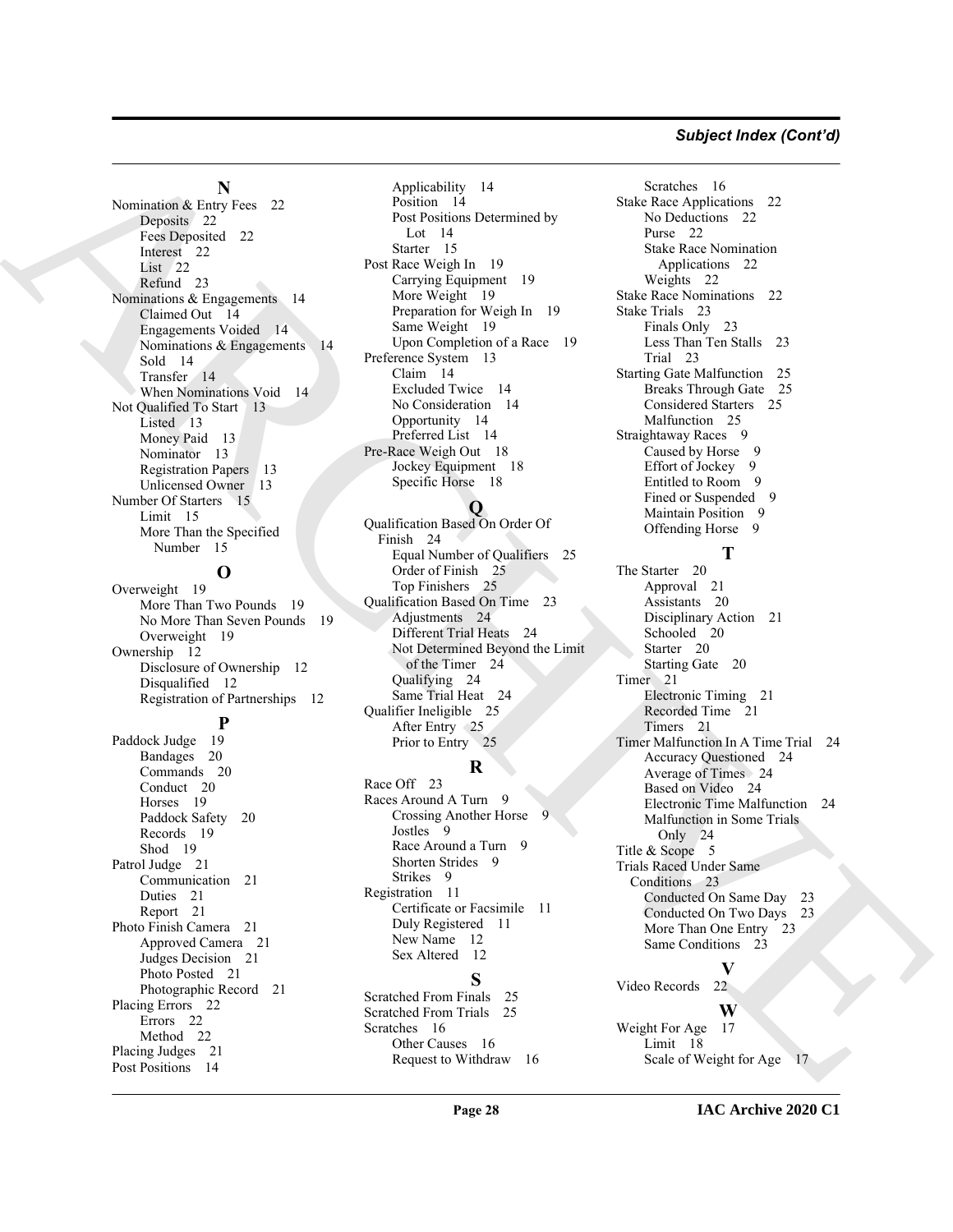#### *Subject Index (Cont'd)*

**N**

Nomination & Entry Fees 22 Deposits 22 Fees Deposited 22 Interest<sub>22</sub> List 22 Refund 23 Nominations & Engagements 14 Claimed Out 14 Engagements Voided 14 Nominations & Engagements 14 Sold 14 Transfer 14 When Nominations Void 14 Not Qualified To Start 13 Listed 13 Money Paid 13 Nominator 13 Registration Papers 13 Unlicensed Owner 13 Number Of Starters 15 Limit 15 More Than the Specified Number 15

# **O**

Overweight 19 More Than Two Pounds 19 No More Than Seven Pounds 19 Overweight 19 Ownership 12 Disclosure of Ownership 12 Disqualified 12 Registration of Partnerships 12

# **P**

Paddock Judge 19 Bandages 20 Commands 20 Conduct 20 Horses 19 Paddock Safety 20 Records 19 Shod 19 Patrol Judge 21 Communication 21 Duties 21 Report 21 Photo Finish Camera 21 Approved Camera 21 Judges Decision 21 Photo Posted 21 Photographic Record 21 Placing Errors 22 Errors 22 Method 22 Placing Judges 21 Post Positions 14

Applicability 14 Position 14 Post Positions Determined by Lot 14 Starter 15 Post Race Weigh In 19 Carrying Equipment 19 More Weight 19 Preparation for Weigh In 19 Same Weight 19 Upon Completion of a Race 19 Preference System 13 Claim 14 Excluded Twice 14 No Consideration 14 Opportunity 14 Preferred List 14 Pre-Race Weigh Out 18 Jockey Equipment 18 Specific Horse 18

# **Q**

Qualification Based On Order Of Finish 24 Equal Number of Qualifiers 25 Order of Finish 25 Top Finishers 25 Qualification Based On Time 23 Adjustments 24 Different Trial Heats 24 Not Determined Beyond the Limit of the Timer 24 Qualifying 24 Same Trial Heat 24 Qualifier Ineligible 25 After Entry 25 Prior to Entry 25

# **R**

Race Off 23 Races Around A Turn 9 Crossing Another Horse Jostles 9 Race Around a Turn 9 Shorten Strides 9 Strikes 9 Registration 11 Certificate or Facsimile 11 Duly Registered 11 New Name 12 Sex Altered 12

#### **S**

Scratched From Finals 25 Scratched From Trials 25 Scratches 16 Other Causes 16 Request to Withdraw 16

Scratches 16 Stake Race Applications 22 No Deductions 22 Purse 22 Stake Race Nomination Applications 22 Weights 22 Stake Race Nominations 22 Stake Trials 23 Finals Only 23 Less Than Ten Stalls 23 Trial 23 Starting Gate Malfunction 25 Breaks Through Gate 25 Considered Starters 25 Malfunction 25 Straightaway Races 9 Caused by Horse 9 Effort of Jockey 9 Entitled to Room 9 Fined or Suspended 9 Maintain Position 9 Offending Horse 9

## **T**

Noncolonial (a)  $\frac{1}{2}$  (b)  $\frac{1}{2}$  (b)  $\frac{1}{2}$  (b)  $\frac{1}{2}$  (b)  $\frac{1}{2}$  (b)  $\frac{1}{2}$  (b)  $\frac{1}{2}$  (b)  $\frac{1}{2}$  (b)  $\frac{1}{2}$  (b)  $\frac{1}{2}$  (b)  $\frac{1}{2}$  (b)  $\frac{1}{2}$  (b)  $\frac{1}{2}$  (b)  $\frac{1}{2}$  (b)  $\frac{1}{2}$ The Starter 20 Approval 21 Assistants 20 Disciplinary Action 21 Schooled 20 Starter 20 Starting Gate 20 Timer 21 Electronic Timing 21 Recorded Time 21 Timers 21 Timer Malfunction In A Time Trial 24 Accuracy Questioned 24 Average of Times 24 Based on Video 24 Electronic Time Malfunction 24 Malfunction in Some Trials Only 24 Title & Scope 5 Trials Raced Under Same Conditions 23 Conducted On Same Day 23 Conducted On Two Days 23 More Than One Entry 23 Same Conditions 23

**V** Video Records 22

# **W**

Weight For Age 17 Limit 18 Scale of Weight for Age 17